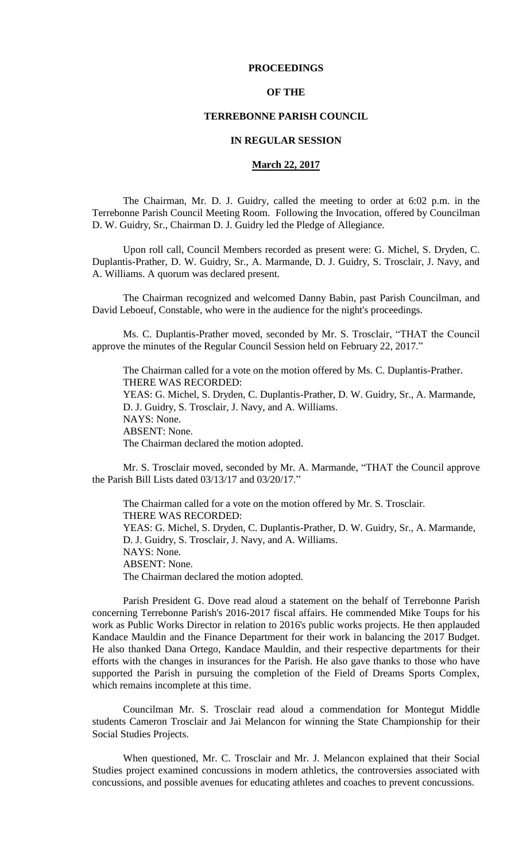#### **PROCEEDINGS**

#### **OF THE**

#### **TERREBONNE PARISH COUNCIL**

#### **IN REGULAR SESSION**

#### **March 22, 2017**

The Chairman, Mr. D. J. Guidry, called the meeting to order at 6:02 p.m. in the Terrebonne Parish Council Meeting Room. Following the Invocation, offered by Councilman D. W. Guidry, Sr., Chairman D. J. Guidry led the Pledge of Allegiance.

Upon roll call, Council Members recorded as present were: G. Michel, S. Dryden, C. Duplantis-Prather, D. W. Guidry, Sr., A. Marmande, D. J. Guidry, S. Trosclair, J. Navy, and A. Williams. A quorum was declared present.

The Chairman recognized and welcomed Danny Babin, past Parish Councilman, and David Leboeuf, Constable, who were in the audience for the night's proceedings.

Ms. C. Duplantis-Prather moved, seconded by Mr. S. Trosclair, "THAT the Council approve the minutes of the Regular Council Session held on February 22, 2017."

The Chairman called for a vote on the motion offered by Ms. C. Duplantis-Prather. THERE WAS RECORDED: YEAS: G. Michel, S. Dryden, C. Duplantis-Prather, D. W. Guidry, Sr., A. Marmande, D. J. Guidry, S. Trosclair, J. Navy, and A. Williams. NAYS: None. ABSENT: None. The Chairman declared the motion adopted.

Mr. S. Trosclair moved, seconded by Mr. A. Marmande, "THAT the Council approve the Parish Bill Lists dated 03/13/17 and 03/20/17."

The Chairman called for a vote on the motion offered by Mr. S. Trosclair. THERE WAS RECORDED: YEAS: G. Michel, S. Dryden, C. Duplantis-Prather, D. W. Guidry, Sr., A. Marmande, D. J. Guidry, S. Trosclair, J. Navy, and A. Williams. NAYS: None. ABSENT: None. The Chairman declared the motion adopted.

Parish President G. Dove read aloud a statement on the behalf of Terrebonne Parish concerning Terrebonne Parish's 2016-2017 fiscal affairs. He commended Mike Toups for his work as Public Works Director in relation to 2016's public works projects. He then applauded Kandace Mauldin and the Finance Department for their work in balancing the 2017 Budget. He also thanked Dana Ortego, Kandace Mauldin, and their respective departments for their efforts with the changes in insurances for the Parish. He also gave thanks to those who have supported the Parish in pursuing the completion of the Field of Dreams Sports Complex, which remains incomplete at this time.

Councilman Mr. S. Trosclair read aloud a commendation for Montegut Middle students Cameron Trosclair and Jai Melancon for winning the State Championship for their Social Studies Projects.

When questioned, Mr. C. Trosclair and Mr. J. Melancon explained that their Social Studies project examined concussions in modern athletics, the controversies associated with concussions, and possible avenues for educating athletes and coaches to prevent concussions.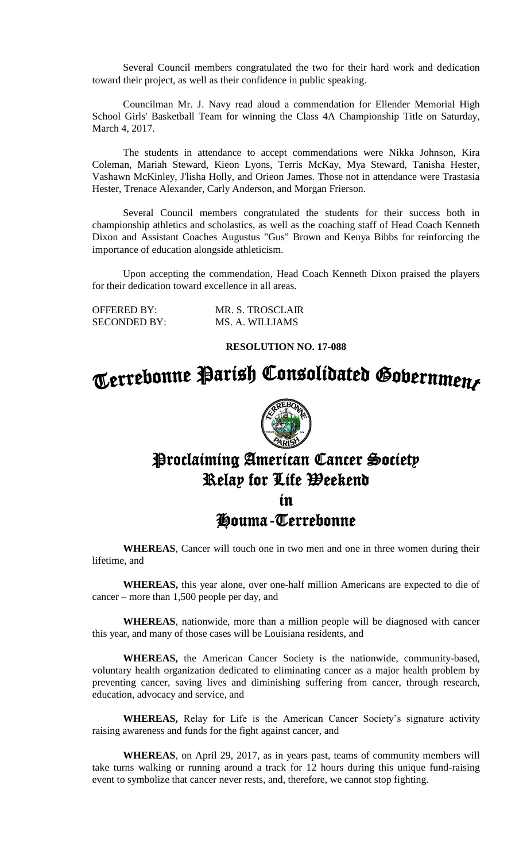Several Council members congratulated the two for their hard work and dedication toward their project, as well as their confidence in public speaking.

Councilman Mr. J. Navy read aloud a commendation for Ellender Memorial High School Girls' Basketball Team for winning the Class 4A Championship Title on Saturday, March 4, 2017.

The students in attendance to accept commendations were Nikka Johnson, Kira Coleman, Mariah Steward, Kieon Lyons, Terris McKay, Mya Steward, Tanisha Hester, Vashawn McKinley, J'lisha Holly, and Orieon James. Those not in attendance were Trastasia Hester, Trenace Alexander, Carly Anderson, and Morgan Frierson.

Several Council members congratulated the students for their success both in championship athletics and scholastics, as well as the coaching staff of Head Coach Kenneth Dixon and Assistant Coaches Augustus "Gus" Brown and Kenya Bibbs for reinforcing the importance of education alongside athleticism.

Upon accepting the commendation, Head Coach Kenneth Dixon praised the players for their dedication toward excellence in all areas.

| <b>OFFERED BY:</b>  | MR. S. TROSCLAIR |
|---------------------|------------------|
| <b>SECONDED BY:</b> | MS. A. WILLIAMS  |

#### **RESOLUTION NO. 17-088**



## Proclaiming American Cancer Society Relay for Life Weekend in

Houma-Terrebonne

**WHEREAS**, Cancer will touch one in two men and one in three women during their lifetime, and

**WHEREAS,** this year alone, over one-half million Americans are expected to die of cancer – more than 1,500 people per day, and

**WHEREAS**, nationwide, more than a million people will be diagnosed with cancer this year, and many of those cases will be Louisiana residents, and

**WHEREAS,** the American Cancer Society is the nationwide, community-based, voluntary health organization dedicated to eliminating cancer as a major health problem by preventing cancer, saving lives and diminishing suffering from cancer, through research, education, advocacy and service, and

**WHEREAS,** Relay for Life is the American Cancer Society's signature activity raising awareness and funds for the fight against cancer, and

**WHEREAS**, on April 29, 2017, as in years past, teams of community members will take turns walking or running around a track for 12 hours during this unique fund-raising event to symbolize that cancer never rests, and, therefore, we cannot stop fighting.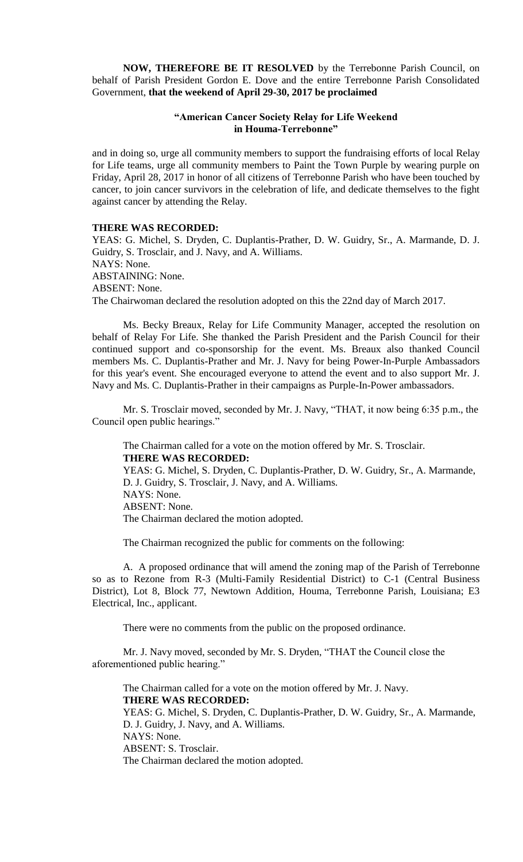**NOW, THEREFORE BE IT RESOLVED** by the Terrebonne Parish Council, on behalf of Parish President Gordon E. Dove and the entire Terrebonne Parish Consolidated Government, **that the weekend of April 29-30, 2017 be proclaimed**

#### **"American Cancer Society Relay for Life Weekend in Houma-Terrebonne"**

and in doing so, urge all community members to support the fundraising efforts of local Relay for Life teams, urge all community members to Paint the Town Purple by wearing purple on Friday, April 28, 2017 in honor of all citizens of Terrebonne Parish who have been touched by cancer, to join cancer survivors in the celebration of life, and dedicate themselves to the fight against cancer by attending the Relay.

#### **THERE WAS RECORDED:**

YEAS: G. Michel, S. Dryden, C. Duplantis-Prather, D. W. Guidry, Sr., A. Marmande, D. J. Guidry, S. Trosclair, and J. Navy, and A. Williams. NAYS: None. ABSTAINING: None. ABSENT: None. The Chairwoman declared the resolution adopted on this the 22nd day of March 2017.

Ms. Becky Breaux, Relay for Life Community Manager, accepted the resolution on behalf of Relay For Life. She thanked the Parish President and the Parish Council for their continued support and co-sponsorship for the event. Ms. Breaux also thanked Council members Ms. C. Duplantis-Prather and Mr. J. Navy for being Power-In-Purple Ambassadors for this year's event. She encouraged everyone to attend the event and to also support Mr. J. Navy and Ms. C. Duplantis-Prather in their campaigns as Purple-In-Power ambassadors.

Mr. S. Trosclair moved, seconded by Mr. J. Navy, "THAT, it now being 6:35 p.m., the Council open public hearings."

The Chairman called for a vote on the motion offered by Mr. S. Trosclair. **THERE WAS RECORDED:** YEAS: G. Michel, S. Dryden, C. Duplantis-Prather, D. W. Guidry, Sr., A. Marmande, D. J. Guidry, S. Trosclair, J. Navy, and A. Williams. NAYS: None. ABSENT: None.

The Chairman declared the motion adopted.

The Chairman recognized the public for comments on the following:

A. A proposed ordinance that will amend the zoning map of the Parish of Terrebonne so as to Rezone from R-3 (Multi-Family Residential District) to C-1 (Central Business District), Lot 8, Block 77, Newtown Addition, Houma, Terrebonne Parish, Louisiana; E3 Electrical, Inc., applicant.

There were no comments from the public on the proposed ordinance.

Mr. J. Navy moved, seconded by Mr. S. Dryden, "THAT the Council close the aforementioned public hearing."

The Chairman called for a vote on the motion offered by Mr. J. Navy. **THERE WAS RECORDED:**

YEAS: G. Michel, S. Dryden, C. Duplantis-Prather, D. W. Guidry, Sr., A. Marmande, D. J. Guidry, J. Navy, and A. Williams. NAYS: None.

ABSENT: S. Trosclair.

The Chairman declared the motion adopted.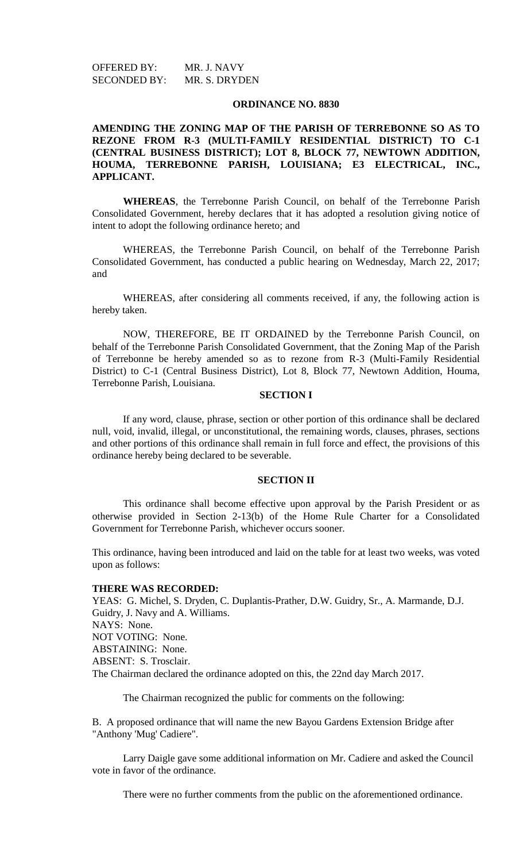OFFERED BY: MR. J. NAVY SECONDED BY: MR. S. DRYDEN

#### **ORDINANCE NO. 8830**

#### **AMENDING THE ZONING MAP OF THE PARISH OF TERREBONNE SO AS TO REZONE FROM R-3 (MULTI-FAMILY RESIDENTIAL DISTRICT) TO C-1 (CENTRAL BUSINESS DISTRICT); LOT 8, BLOCK 77, NEWTOWN ADDITION, HOUMA, TERREBONNE PARISH, LOUISIANA; E3 ELECTRICAL, INC., APPLICANT.**

**WHEREAS**, the Terrebonne Parish Council, on behalf of the Terrebonne Parish Consolidated Government, hereby declares that it has adopted a resolution giving notice of intent to adopt the following ordinance hereto; and

WHEREAS, the Terrebonne Parish Council, on behalf of the Terrebonne Parish Consolidated Government, has conducted a public hearing on Wednesday, March 22, 2017; and

WHEREAS, after considering all comments received, if any, the following action is hereby taken.

NOW, THEREFORE, BE IT ORDAINED by the Terrebonne Parish Council, on behalf of the Terrebonne Parish Consolidated Government, that the Zoning Map of the Parish of Terrebonne be hereby amended so as to rezone from R-3 (Multi-Family Residential District) to C-1 (Central Business District), Lot 8, Block 77, Newtown Addition, Houma, Terrebonne Parish, Louisiana.

#### **SECTION I**

If any word, clause, phrase, section or other portion of this ordinance shall be declared null, void, invalid, illegal, or unconstitutional, the remaining words, clauses, phrases, sections and other portions of this ordinance shall remain in full force and effect, the provisions of this ordinance hereby being declared to be severable.

#### **SECTION II**

This ordinance shall become effective upon approval by the Parish President or as otherwise provided in Section 2-13(b) of the Home Rule Charter for a Consolidated Government for Terrebonne Parish, whichever occurs sooner.

This ordinance, having been introduced and laid on the table for at least two weeks, was voted upon as follows:

#### **THERE WAS RECORDED:**

YEAS: G. Michel, S. Dryden, C. Duplantis-Prather, D.W. Guidry, Sr., A. Marmande, D.J. Guidry, J. Navy and A. Williams. NAYS: None. NOT VOTING: None. ABSTAINING: None. ABSENT: S. Trosclair. The Chairman declared the ordinance adopted on this, the 22nd day March 2017.

The Chairman recognized the public for comments on the following:

B. A proposed ordinance that will name the new Bayou Gardens Extension Bridge after "Anthony 'Mug' Cadiere".

Larry Daigle gave some additional information on Mr. Cadiere and asked the Council vote in favor of the ordinance.

There were no further comments from the public on the aforementioned ordinance.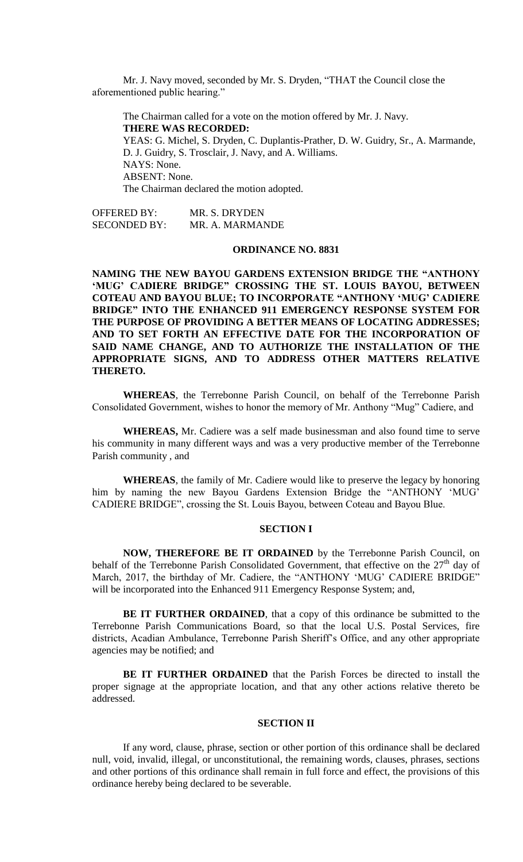Mr. J. Navy moved, seconded by Mr. S. Dryden, "THAT the Council close the aforementioned public hearing."

The Chairman called for a vote on the motion offered by Mr. J. Navy. **THERE WAS RECORDED:** YEAS: G. Michel, S. Dryden, C. Duplantis-Prather, D. W. Guidry, Sr., A. Marmande, D. J. Guidry, S. Trosclair, J. Navy, and A. Williams. NAYS: None. ABSENT: None. The Chairman declared the motion adopted.

OFFERED BY: MR. S. DRYDEN SECONDED BY: MR. A. MARMANDE

#### **ORDINANCE NO. 8831**

**NAMING THE NEW BAYOU GARDENS EXTENSION BRIDGE THE "ANTHONY 'MUG' CADIERE BRIDGE" CROSSING THE ST. LOUIS BAYOU, BETWEEN COTEAU AND BAYOU BLUE; TO INCORPORATE "ANTHONY 'MUG' CADIERE BRIDGE" INTO THE ENHANCED 911 EMERGENCY RESPONSE SYSTEM FOR THE PURPOSE OF PROVIDING A BETTER MEANS OF LOCATING ADDRESSES; AND TO SET FORTH AN EFFECTIVE DATE FOR THE INCORPORATION OF SAID NAME CHANGE, AND TO AUTHORIZE THE INSTALLATION OF THE APPROPRIATE SIGNS, AND TO ADDRESS OTHER MATTERS RELATIVE THERETO.**

**WHEREAS**, the Terrebonne Parish Council, on behalf of the Terrebonne Parish Consolidated Government, wishes to honor the memory of Mr. Anthony "Mug" Cadiere, and

**WHEREAS,** Mr. Cadiere was a self made businessman and also found time to serve his community in many different ways and was a very productive member of the Terrebonne Parish community , and

**WHEREAS**, the family of Mr. Cadiere would like to preserve the legacy by honoring him by naming the new Bayou Gardens Extension Bridge the "ANTHONY 'MUG' CADIERE BRIDGE", crossing the St. Louis Bayou, between Coteau and Bayou Blue.

#### **SECTION I**

**NOW, THEREFORE BE IT ORDAINED** by the Terrebonne Parish Council, on behalf of the Terrebonne Parish Consolidated Government, that effective on the  $27<sup>th</sup>$  day of March, 2017, the birthday of Mr. Cadiere, the "ANTHONY 'MUG' CADIERE BRIDGE" will be incorporated into the Enhanced 911 Emergency Response System; and,

**BE IT FURTHER ORDAINED**, that a copy of this ordinance be submitted to the Terrebonne Parish Communications Board, so that the local U.S. Postal Services, fire districts, Acadian Ambulance, Terrebonne Parish Sheriff's Office, and any other appropriate agencies may be notified; and

**BE IT FURTHER ORDAINED** that the Parish Forces be directed to install the proper signage at the appropriate location, and that any other actions relative thereto be addressed.

#### **SECTION II**

If any word, clause, phrase, section or other portion of this ordinance shall be declared null, void, invalid, illegal, or unconstitutional, the remaining words, clauses, phrases, sections and other portions of this ordinance shall remain in full force and effect, the provisions of this ordinance hereby being declared to be severable.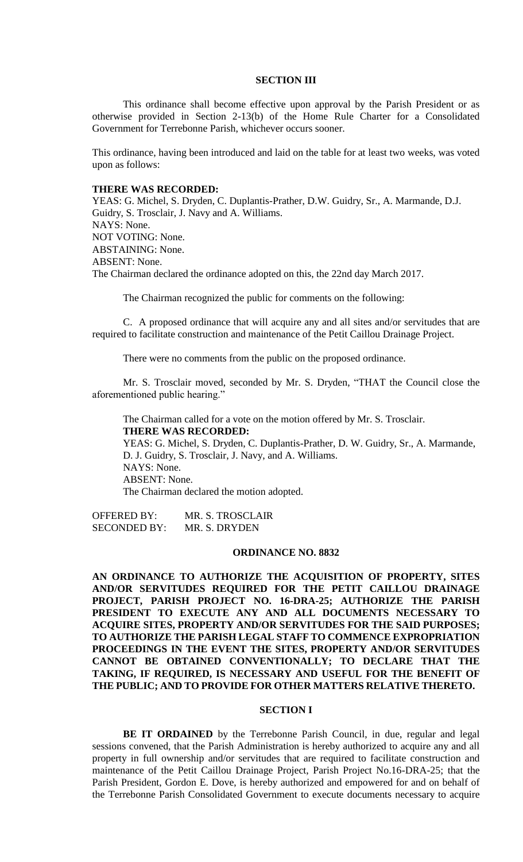#### **SECTION III**

This ordinance shall become effective upon approval by the Parish President or as otherwise provided in Section 2-13(b) of the Home Rule Charter for a Consolidated Government for Terrebonne Parish, whichever occurs sooner.

This ordinance, having been introduced and laid on the table for at least two weeks, was voted upon as follows:

#### **THERE WAS RECORDED:**

YEAS: G. Michel, S. Dryden, C. Duplantis-Prather, D.W. Guidry, Sr., A. Marmande, D.J. Guidry, S. Trosclair, J. Navy and A. Williams. NAYS: None. NOT VOTING: None. ABSTAINING: None. ABSENT: None. The Chairman declared the ordinance adopted on this, the 22nd day March 2017.

The Chairman recognized the public for comments on the following:

C. A proposed ordinance that will acquire any and all sites and/or servitudes that are required to facilitate construction and maintenance of the Petit Caillou Drainage Project.

There were no comments from the public on the proposed ordinance.

Mr. S. Trosclair moved, seconded by Mr. S. Dryden, "THAT the Council close the aforementioned public hearing."

The Chairman called for a vote on the motion offered by Mr. S. Trosclair. **THERE WAS RECORDED:**

YEAS: G. Michel, S. Dryden, C. Duplantis-Prather, D. W. Guidry, Sr., A. Marmande, D. J. Guidry, S. Trosclair, J. Navy, and A. Williams. NAYS: None. ABSENT: None. The Chairman declared the motion adopted.

OFFERED BY: MR. S. TROSCLAIR SECONDED BY: MR. S. DRYDEN

#### **ORDINANCE NO. 8832**

**AN ORDINANCE TO AUTHORIZE THE ACQUISITION OF PROPERTY, SITES AND/OR SERVITUDES REQUIRED FOR THE PETIT CAILLOU DRAINAGE PROJECT, PARISH PROJECT NO. 16-DRA-25; AUTHORIZE THE PARISH PRESIDENT TO EXECUTE ANY AND ALL DOCUMENTS NECESSARY TO ACQUIRE SITES, PROPERTY AND/OR SERVITUDES FOR THE SAID PURPOSES; TO AUTHORIZE THE PARISH LEGAL STAFF TO COMMENCE EXPROPRIATION PROCEEDINGS IN THE EVENT THE SITES, PROPERTY AND/OR SERVITUDES CANNOT BE OBTAINED CONVENTIONALLY; TO DECLARE THAT THE TAKING, IF REQUIRED, IS NECESSARY AND USEFUL FOR THE BENEFIT OF THE PUBLIC; AND TO PROVIDE FOR OTHER MATTERS RELATIVE THERETO.**

#### **SECTION I**

**BE IT ORDAINED** by the Terrebonne Parish Council, in due, regular and legal sessions convened, that the Parish Administration is hereby authorized to acquire any and all property in full ownership and/or servitudes that are required to facilitate construction and maintenance of the Petit Caillou Drainage Project, Parish Project No.16-DRA-25; that the Parish President, Gordon E. Dove, is hereby authorized and empowered for and on behalf of the Terrebonne Parish Consolidated Government to execute documents necessary to acquire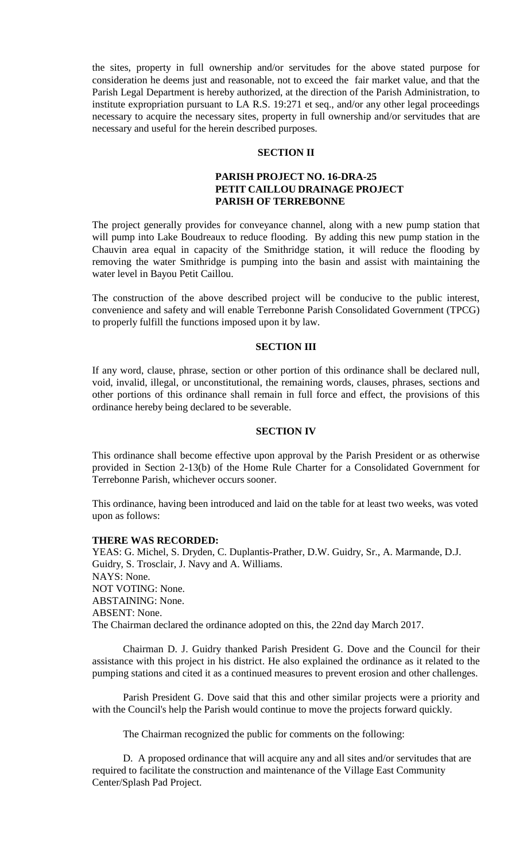the sites, property in full ownership and/or servitudes for the above stated purpose for consideration he deems just and reasonable, not to exceed the fair market value, and that the Parish Legal Department is hereby authorized, at the direction of the Parish Administration, to institute expropriation pursuant to LA R.S. 19:271 et seq., and/or any other legal proceedings necessary to acquire the necessary sites, property in full ownership and/or servitudes that are necessary and useful for the herein described purposes.

#### **SECTION II**

#### **PARISH PROJECT NO. 16-DRA-25 PETIT CAILLOU DRAINAGE PROJECT PARISH OF TERREBONNE**

The project generally provides for conveyance channel, along with a new pump station that will pump into Lake Boudreaux to reduce flooding. By adding this new pump station in the Chauvin area equal in capacity of the Smithridge station, it will reduce the flooding by removing the water Smithridge is pumping into the basin and assist with maintaining the water level in Bayou Petit Caillou.

The construction of the above described project will be conducive to the public interest, convenience and safety and will enable Terrebonne Parish Consolidated Government (TPCG) to properly fulfill the functions imposed upon it by law.

#### **SECTION III**

If any word, clause, phrase, section or other portion of this ordinance shall be declared null, void, invalid, illegal, or unconstitutional, the remaining words, clauses, phrases, sections and other portions of this ordinance shall remain in full force and effect, the provisions of this ordinance hereby being declared to be severable.

#### **SECTION IV**

This ordinance shall become effective upon approval by the Parish President or as otherwise provided in Section 2-13(b) of the Home Rule Charter for a Consolidated Government for Terrebonne Parish, whichever occurs sooner.

This ordinance, having been introduced and laid on the table for at least two weeks, was voted upon as follows:

#### **THERE WAS RECORDED:**

YEAS: G. Michel, S. Dryden, C. Duplantis-Prather, D.W. Guidry, Sr., A. Marmande, D.J. Guidry, S. Trosclair, J. Navy and A. Williams. NAYS: None. NOT VOTING: None. ABSTAINING: None. ABSENT: None. The Chairman declared the ordinance adopted on this, the 22nd day March 2017.

Chairman D. J. Guidry thanked Parish President G. Dove and the Council for their assistance with this project in his district. He also explained the ordinance as it related to the pumping stations and cited it as a continued measures to prevent erosion and other challenges.

Parish President G. Dove said that this and other similar projects were a priority and with the Council's help the Parish would continue to move the projects forward quickly.

The Chairman recognized the public for comments on the following:

D. A proposed ordinance that will acquire any and all sites and/or servitudes that are required to facilitate the construction and maintenance of the Village East Community Center/Splash Pad Project.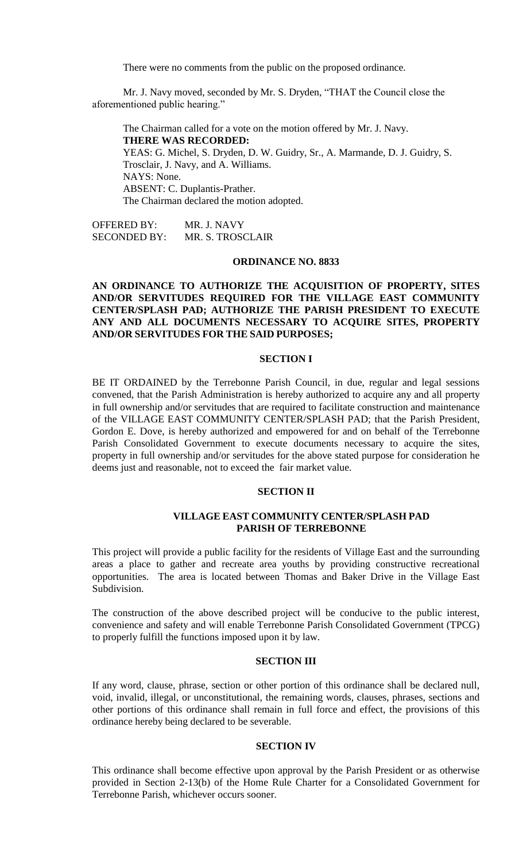There were no comments from the public on the proposed ordinance.

Mr. J. Navy moved, seconded by Mr. S. Dryden, "THAT the Council close the aforementioned public hearing."

The Chairman called for a vote on the motion offered by Mr. J. Navy. **THERE WAS RECORDED:** YEAS: G. Michel, S. Dryden, D. W. Guidry, Sr., A. Marmande, D. J. Guidry, S. Trosclair, J. Navy, and A. Williams. NAYS: None. ABSENT: C. Duplantis-Prather. The Chairman declared the motion adopted.

OFFERED BY: MR. J. NAVY SECONDED BY: MR. S. TROSCLAIR

#### **ORDINANCE NO. 8833**

#### **AN ORDINANCE TO AUTHORIZE THE ACQUISITION OF PROPERTY, SITES AND/OR SERVITUDES REQUIRED FOR THE VILLAGE EAST COMMUNITY CENTER/SPLASH PAD; AUTHORIZE THE PARISH PRESIDENT TO EXECUTE ANY AND ALL DOCUMENTS NECESSARY TO ACQUIRE SITES, PROPERTY AND/OR SERVITUDES FOR THE SAID PURPOSES;**

#### **SECTION I**

BE IT ORDAINED by the Terrebonne Parish Council, in due, regular and legal sessions convened, that the Parish Administration is hereby authorized to acquire any and all property in full ownership and/or servitudes that are required to facilitate construction and maintenance of the VILLAGE EAST COMMUNITY CENTER/SPLASH PAD; that the Parish President, Gordon E. Dove, is hereby authorized and empowered for and on behalf of the Terrebonne Parish Consolidated Government to execute documents necessary to acquire the sites, property in full ownership and/or servitudes for the above stated purpose for consideration he deems just and reasonable, not to exceed the fair market value.

#### **SECTION II**

#### **VILLAGE EAST COMMUNITY CENTER/SPLASH PAD PARISH OF TERREBONNE**

This project will provide a public facility for the residents of Village East and the surrounding areas a place to gather and recreate area youths by providing constructive recreational opportunities. The area is located between Thomas and Baker Drive in the Village East Subdivision.

The construction of the above described project will be conducive to the public interest, convenience and safety and will enable Terrebonne Parish Consolidated Government (TPCG) to properly fulfill the functions imposed upon it by law.

#### **SECTION III**

If any word, clause, phrase, section or other portion of this ordinance shall be declared null, void, invalid, illegal, or unconstitutional, the remaining words, clauses, phrases, sections and other portions of this ordinance shall remain in full force and effect, the provisions of this ordinance hereby being declared to be severable.

#### **SECTION IV**

This ordinance shall become effective upon approval by the Parish President or as otherwise provided in Section 2-13(b) of the Home Rule Charter for a Consolidated Government for Terrebonne Parish, whichever occurs sooner.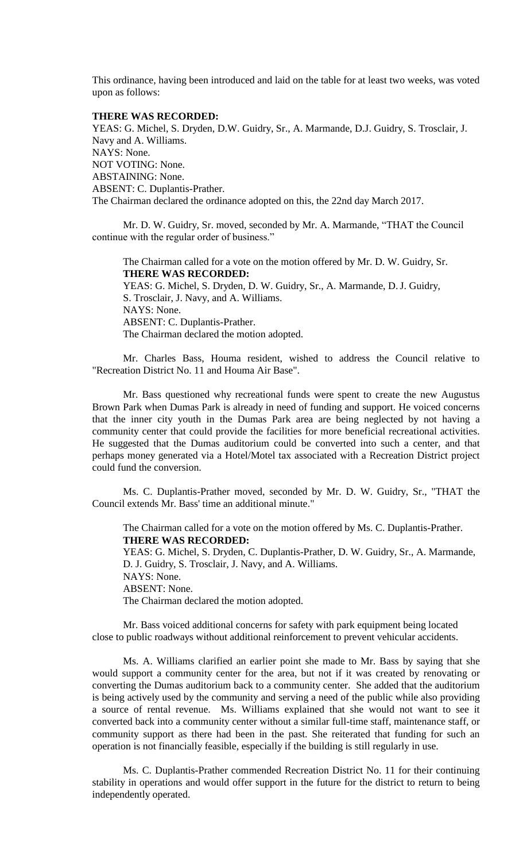This ordinance, having been introduced and laid on the table for at least two weeks, was voted upon as follows:

#### **THERE WAS RECORDED:**

YEAS: G. Michel, S. Dryden, D.W. Guidry, Sr., A. Marmande, D.J. Guidry, S. Trosclair, J. Navy and A. Williams. NAYS: None. NOT VOTING: None. ABSTAINING: None. ABSENT: C. Duplantis-Prather. The Chairman declared the ordinance adopted on this, the 22nd day March 2017.

Mr. D. W. Guidry, Sr. moved, seconded by Mr. A. Marmande, "THAT the Council continue with the regular order of business."

The Chairman called for a vote on the motion offered by Mr. D. W. Guidry, Sr. **THERE WAS RECORDED:** YEAS: G. Michel, S. Dryden, D. W. Guidry, Sr., A. Marmande, D.J. Guidry, S. Trosclair, J. Navy, and A. Williams. NAYS: None. ABSENT: C. Duplantis-Prather. The Chairman declared the motion adopted.

Mr. Charles Bass, Houma resident, wished to address the Council relative to "Recreation District No. 11 and Houma Air Base".

Mr. Bass questioned why recreational funds were spent to create the new Augustus Brown Park when Dumas Park is already in need of funding and support. He voiced concerns that the inner city youth in the Dumas Park area are being neglected by not having a community center that could provide the facilities for more beneficial recreational activities. He suggested that the Dumas auditorium could be converted into such a center, and that perhaps money generated via a Hotel/Motel tax associated with a Recreation District project could fund the conversion.

Ms. C. Duplantis-Prather moved, seconded by Mr. D. W. Guidry, Sr., "THAT the Council extends Mr. Bass' time an additional minute."

The Chairman called for a vote on the motion offered by Ms. C. Duplantis-Prather. **THERE WAS RECORDED:**

YEAS: G. Michel, S. Dryden, C. Duplantis-Prather, D. W. Guidry, Sr., A. Marmande, D. J. Guidry, S. Trosclair, J. Navy, and A. Williams.

NAYS: None.

ABSENT: None.

The Chairman declared the motion adopted.

Mr. Bass voiced additional concerns for safety with park equipment being located close to public roadways without additional reinforcement to prevent vehicular accidents.

Ms. A. Williams clarified an earlier point she made to Mr. Bass by saying that she would support a community center for the area, but not if it was created by renovating or converting the Dumas auditorium back to a community center. She added that the auditorium is being actively used by the community and serving a need of the public while also providing a source of rental revenue. Ms. Williams explained that she would not want to see it converted back into a community center without a similar full-time staff, maintenance staff, or community support as there had been in the past. She reiterated that funding for such an operation is not financially feasible, especially if the building is still regularly in use.

Ms. C. Duplantis-Prather commended Recreation District No. 11 for their continuing stability in operations and would offer support in the future for the district to return to being independently operated.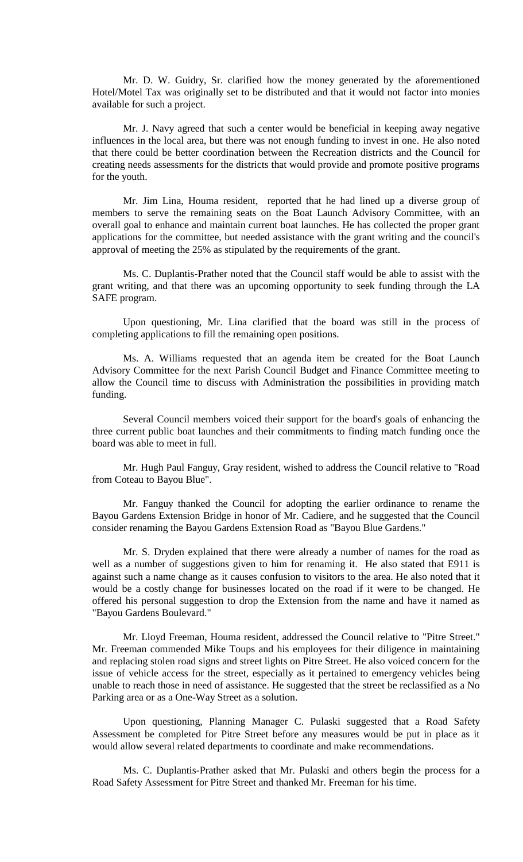Mr. D. W. Guidry, Sr. clarified how the money generated by the aforementioned Hotel/Motel Tax was originally set to be distributed and that it would not factor into monies available for such a project.

Mr. J. Navy agreed that such a center would be beneficial in keeping away negative influences in the local area, but there was not enough funding to invest in one. He also noted that there could be better coordination between the Recreation districts and the Council for creating needs assessments for the districts that would provide and promote positive programs for the youth.

Mr. Jim Lina, Houma resident, reported that he had lined up a diverse group of members to serve the remaining seats on the Boat Launch Advisory Committee, with an overall goal to enhance and maintain current boat launches. He has collected the proper grant applications for the committee, but needed assistance with the grant writing and the council's approval of meeting the 25% as stipulated by the requirements of the grant.

Ms. C. Duplantis-Prather noted that the Council staff would be able to assist with the grant writing, and that there was an upcoming opportunity to seek funding through the LA SAFE program.

Upon questioning, Mr. Lina clarified that the board was still in the process of completing applications to fill the remaining open positions.

Ms. A. Williams requested that an agenda item be created for the Boat Launch Advisory Committee for the next Parish Council Budget and Finance Committee meeting to allow the Council time to discuss with Administration the possibilities in providing match funding.

Several Council members voiced their support for the board's goals of enhancing the three current public boat launches and their commitments to finding match funding once the board was able to meet in full.

Mr. Hugh Paul Fanguy, Gray resident, wished to address the Council relative to "Road from Coteau to Bayou Blue".

Mr. Fanguy thanked the Council for adopting the earlier ordinance to rename the Bayou Gardens Extension Bridge in honor of Mr. Cadiere, and he suggested that the Council consider renaming the Bayou Gardens Extension Road as "Bayou Blue Gardens."

Mr. S. Dryden explained that there were already a number of names for the road as well as a number of suggestions given to him for renaming it. He also stated that E911 is against such a name change as it causes confusion to visitors to the area. He also noted that it would be a costly change for businesses located on the road if it were to be changed. He offered his personal suggestion to drop the Extension from the name and have it named as "Bayou Gardens Boulevard."

Mr. Lloyd Freeman, Houma resident, addressed the Council relative to "Pitre Street." Mr. Freeman commended Mike Toups and his employees for their diligence in maintaining and replacing stolen road signs and street lights on Pitre Street. He also voiced concern for the issue of vehicle access for the street, especially as it pertained to emergency vehicles being unable to reach those in need of assistance. He suggested that the street be reclassified as a No Parking area or as a One-Way Street as a solution.

Upon questioning, Planning Manager C. Pulaski suggested that a Road Safety Assessment be completed for Pitre Street before any measures would be put in place as it would allow several related departments to coordinate and make recommendations.

Ms. C. Duplantis-Prather asked that Mr. Pulaski and others begin the process for a Road Safety Assessment for Pitre Street and thanked Mr. Freeman for his time.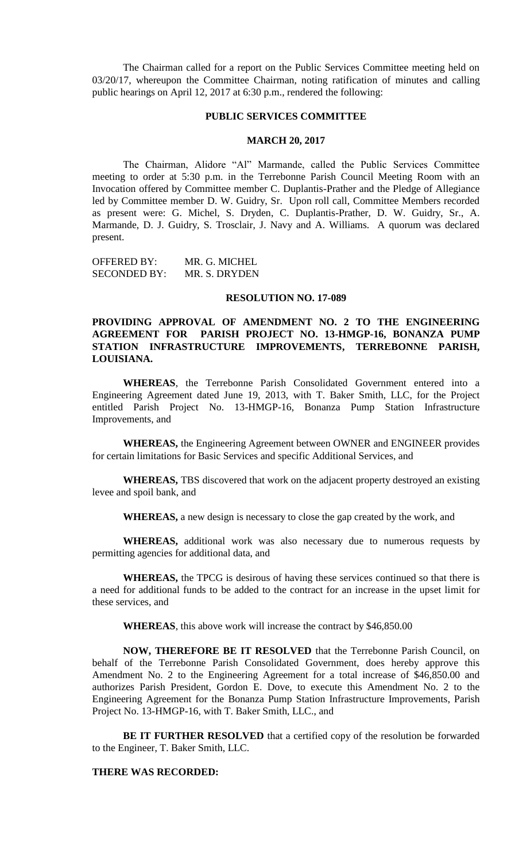The Chairman called for a report on the Public Services Committee meeting held on 03/20/17, whereupon the Committee Chairman, noting ratification of minutes and calling public hearings on April 12, 2017 at 6:30 p.m., rendered the following:

#### **PUBLIC SERVICES COMMITTEE**

#### **MARCH 20, 2017**

The Chairman, Alidore "Al" Marmande, called the Public Services Committee meeting to order at 5:30 p.m. in the Terrebonne Parish Council Meeting Room with an Invocation offered by Committee member C. Duplantis-Prather and the Pledge of Allegiance led by Committee member D. W. Guidry, Sr. Upon roll call, Committee Members recorded as present were: G. Michel, S. Dryden, C. Duplantis-Prather, D. W. Guidry, Sr., A. Marmande, D. J. Guidry, S. Trosclair, J. Navy and A. Williams. A quorum was declared present.

OFFERED BY: MR. G. MICHEL SECONDED BY: MR. S. DRYDEN

#### **RESOLUTION NO. 17-089**

#### **PROVIDING APPROVAL OF AMENDMENT NO. 2 TO THE ENGINEERING AGREEMENT FOR PARISH PROJECT NO. 13-HMGP-16, BONANZA PUMP STATION INFRASTRUCTURE IMPROVEMENTS, TERREBONNE PARISH, LOUISIANA.**

**WHEREAS**, the Terrebonne Parish Consolidated Government entered into a Engineering Agreement dated June 19, 2013, with T. Baker Smith, LLC, for the Project entitled Parish Project No. 13-HMGP-16, Bonanza Pump Station Infrastructure Improvements, and

**WHEREAS,** the Engineering Agreement between OWNER and ENGINEER provides for certain limitations for Basic Services and specific Additional Services, and

**WHEREAS,** TBS discovered that work on the adjacent property destroyed an existing levee and spoil bank, and

**WHEREAS,** a new design is necessary to close the gap created by the work, and

**WHEREAS,** additional work was also necessary due to numerous requests by permitting agencies for additional data, and

**WHEREAS,** the TPCG is desirous of having these services continued so that there is a need for additional funds to be added to the contract for an increase in the upset limit for these services, and

**WHEREAS**, this above work will increase the contract by \$46,850.00

**NOW, THEREFORE BE IT RESOLVED** that the Terrebonne Parish Council, on behalf of the Terrebonne Parish Consolidated Government, does hereby approve this Amendment No. 2 to the Engineering Agreement for a total increase of \$46,850.00 and authorizes Parish President, Gordon E. Dove, to execute this Amendment No. 2 to the Engineering Agreement for the Bonanza Pump Station Infrastructure Improvements, Parish Project No. 13-HMGP-16, with T. Baker Smith, LLC., and

**BE IT FURTHER RESOLVED** that a certified copy of the resolution be forwarded to the Engineer, T. Baker Smith, LLC.

#### **THERE WAS RECORDED:**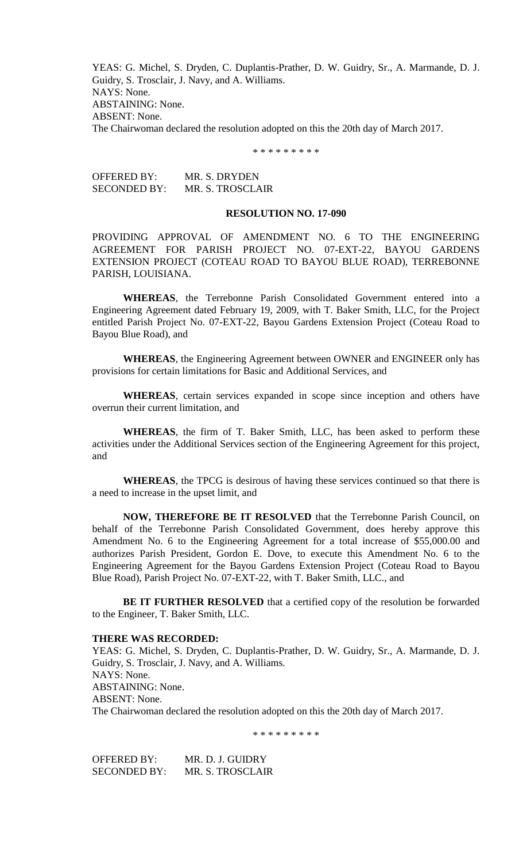YEAS: G. Michel, S. Dryden, C. Duplantis-Prather, D. W. Guidry, Sr., A. Marmande, D. J. Guidry, S. Trosclair, J. Navy, and A. Williams. NAYS: None. ABSTAINING: None. ABSENT: None. The Chairwoman declared the resolution adopted on this the 20th day of March 2017.

\* \* \* \* \* \* \* \* \*

OFFERED BY: MR. S. DRYDEN SECONDED BY: MR. S. TROSCLAIR

#### **RESOLUTION NO. 17-090**

PROVIDING APPROVAL OF AMENDMENT NO. 6 TO THE ENGINEERING AGREEMENT FOR PARISH PROJECT NO. 07-EXT-22, BAYOU GARDENS EXTENSION PROJECT (COTEAU ROAD TO BAYOU BLUE ROAD), TERREBONNE PARISH, LOUISIANA.

**WHEREAS**, the Terrebonne Parish Consolidated Government entered into a Engineering Agreement dated February 19, 2009, with T. Baker Smith, LLC, for the Project entitled Parish Project No. 07-EXT-22, Bayou Gardens Extension Project (Coteau Road to Bayou Blue Road), and

**WHEREAS**, the Engineering Agreement between OWNER and ENGINEER only has provisions for certain limitations for Basic and Additional Services, and

**WHEREAS**, certain services expanded in scope since inception and others have overrun their current limitation, and

**WHEREAS**, the firm of T. Baker Smith, LLC, has been asked to perform these activities under the Additional Services section of the Engineering Agreement for this project, and

**WHEREAS**, the TPCG is desirous of having these services continued so that there is a need to increase in the upset limit, and

**NOW, THEREFORE BE IT RESOLVED** that the Terrebonne Parish Council, on behalf of the Terrebonne Parish Consolidated Government, does hereby approve this Amendment No. 6 to the Engineering Agreement for a total increase of \$55,000.00 and authorizes Parish President, Gordon E. Dove, to execute this Amendment No. 6 to the Engineering Agreement for the Bayou Gardens Extension Project (Coteau Road to Bayou Blue Road), Parish Project No. 07-EXT-22, with T. Baker Smith, LLC., and

**BE IT FURTHER RESOLVED** that a certified copy of the resolution be forwarded to the Engineer, T. Baker Smith, LLC.

#### **THERE WAS RECORDED:**

YEAS: G. Michel, S. Dryden, C. Duplantis-Prather, D. W. Guidry, Sr., A. Marmande, D. J. Guidry, S. Trosclair, J. Navy, and A. Williams. NAYS: None. ABSTAINING: None. ABSENT: None. The Chairwoman declared the resolution adopted on this the 20th day of March 2017.

\* \* \* \* \* \* \* \* \*

OFFERED BY: MR. D. J. GUIDRY SECONDED BY: MR. S. TROSCLAIR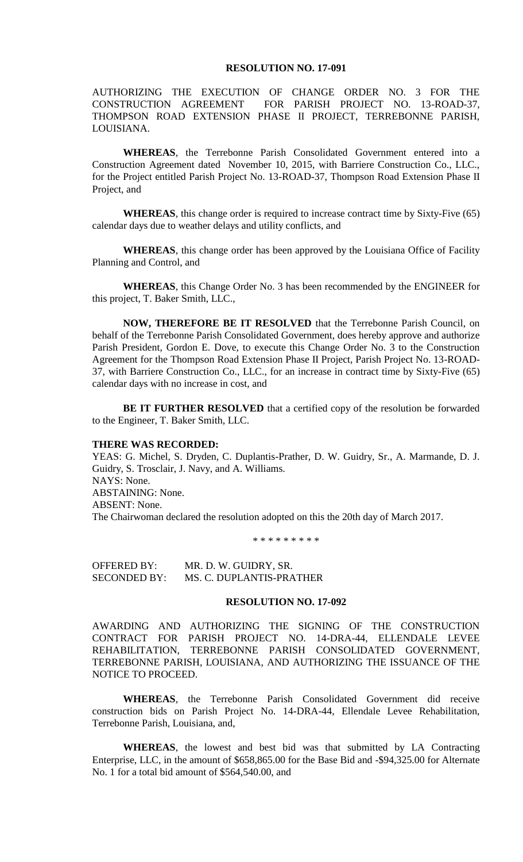#### **RESOLUTION NO. 17-091**

AUTHORIZING THE EXECUTION OF CHANGE ORDER NO. 3 FOR THE CONSTRUCTION AGREEMENT FOR PARISH PROJECT NO. 13-ROAD-37, THOMPSON ROAD EXTENSION PHASE II PROJECT, TERREBONNE PARISH, LOUISIANA.

**WHEREAS**, the Terrebonne Parish Consolidated Government entered into a Construction Agreement dated November 10, 2015, with Barriere Construction Co., LLC., for the Project entitled Parish Project No. 13-ROAD-37, Thompson Road Extension Phase II Project, and

**WHEREAS**, this change order is required to increase contract time by Sixty-Five (65) calendar days due to weather delays and utility conflicts, and

**WHEREAS**, this change order has been approved by the Louisiana Office of Facility Planning and Control, and

**WHEREAS**, this Change Order No. 3 has been recommended by the ENGINEER for this project, T. Baker Smith, LLC.,

**NOW, THEREFORE BE IT RESOLVED** that the Terrebonne Parish Council, on behalf of the Terrebonne Parish Consolidated Government, does hereby approve and authorize Parish President, Gordon E. Dove, to execute this Change Order No. 3 to the Construction Agreement for the Thompson Road Extension Phase II Project, Parish Project No. 13-ROAD-37, with Barriere Construction Co., LLC., for an increase in contract time by Sixty-Five (65) calendar days with no increase in cost, and

**BE IT FURTHER RESOLVED** that a certified copy of the resolution be forwarded to the Engineer, T. Baker Smith, LLC.

#### **THERE WAS RECORDED:**

YEAS: G. Michel, S. Dryden, C. Duplantis-Prather, D. W. Guidry, Sr., A. Marmande, D. J. Guidry, S. Trosclair, J. Navy, and A. Williams. NAYS: None. ABSTAINING: None. ABSENT: None. The Chairwoman declared the resolution adopted on this the 20th day of March 2017.

\* \* \* \* \* \* \* \* \*

OFFERED BY: MR. D. W. GUIDRY, SR. SECONDED BY: MS. C. DUPLANTIS-PRATHER

#### **RESOLUTION NO. 17-092**

AWARDING AND AUTHORIZING THE SIGNING OF THE CONSTRUCTION CONTRACT FOR PARISH PROJECT NO. 14-DRA-44, ELLENDALE LEVEE REHABILITATION, TERREBONNE PARISH CONSOLIDATED GOVERNMENT, TERREBONNE PARISH, LOUISIANA, AND AUTHORIZING THE ISSUANCE OF THE NOTICE TO PROCEED.

**WHEREAS**, the Terrebonne Parish Consolidated Government did receive construction bids on Parish Project No. 14-DRA-44, Ellendale Levee Rehabilitation, Terrebonne Parish, Louisiana, and,

**WHEREAS**, the lowest and best bid was that submitted by LA Contracting Enterprise, LLC, in the amount of \$658,865.00 for the Base Bid and -\$94,325.00 for Alternate No. 1 for a total bid amount of \$564,540.00, and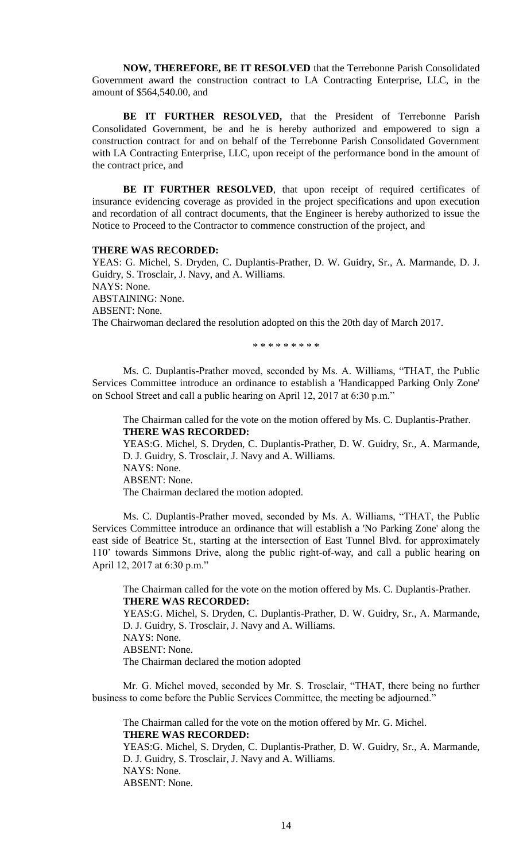**NOW, THEREFORE, BE IT RESOLVED** that the Terrebonne Parish Consolidated Government award the construction contract to LA Contracting Enterprise, LLC, in the amount of \$564,540.00, and

**BE IT FURTHER RESOLVED,** that the President of Terrebonne Parish Consolidated Government, be and he is hereby authorized and empowered to sign a construction contract for and on behalf of the Terrebonne Parish Consolidated Government with LA Contracting Enterprise, LLC, upon receipt of the performance bond in the amount of the contract price, and

BE IT FURTHER RESOLVED, that upon receipt of required certificates of insurance evidencing coverage as provided in the project specifications and upon execution and recordation of all contract documents, that the Engineer is hereby authorized to issue the Notice to Proceed to the Contractor to commence construction of the project, and

#### **THERE WAS RECORDED:**

YEAS: G. Michel, S. Dryden, C. Duplantis-Prather, D. W. Guidry, Sr., A. Marmande, D. J. Guidry, S. Trosclair, J. Navy, and A. Williams. NAYS: None. ABSTAINING: None. ABSENT: None. The Chairwoman declared the resolution adopted on this the 20th day of March 2017.

\* \* \* \* \* \* \* \* \*

Ms. C. Duplantis-Prather moved, seconded by Ms. A. Williams, "THAT, the Public Services Committee introduce an ordinance to establish a 'Handicapped Parking Only Zone' on School Street and call a public hearing on April 12, 2017 at 6:30 p.m."

The Chairman called for the vote on the motion offered by Ms. C. Duplantis-Prather. **THERE WAS RECORDED:**

YEAS:G. Michel, S. Dryden, C. Duplantis-Prather, D. W. Guidry, Sr., A. Marmande, D. J. Guidry, S. Trosclair, J. Navy and A. Williams.

NAYS: None.

ABSENT: None.

The Chairman declared the motion adopted.

Ms. C. Duplantis-Prather moved, seconded by Ms. A. Williams, "THAT, the Public Services Committee introduce an ordinance that will establish a 'No Parking Zone' along the east side of Beatrice St., starting at the intersection of East Tunnel Blvd. for approximately 110' towards Simmons Drive, along the public right-of-way, and call a public hearing on April 12, 2017 at 6:30 p.m."

The Chairman called for the vote on the motion offered by Ms. C. Duplantis-Prather. **THERE WAS RECORDED:**

YEAS:G. Michel, S. Dryden, C. Duplantis-Prather, D. W. Guidry, Sr., A. Marmande, D. J. Guidry, S. Trosclair, J. Navy and A. Williams. NAYS: None. ABSENT: None. The Chairman declared the motion adopted

Mr. G. Michel moved, seconded by Mr. S. Trosclair, "THAT, there being no further business to come before the Public Services Committee, the meeting be adjourned."

The Chairman called for the vote on the motion offered by Mr. G. Michel. **THERE WAS RECORDED:**

YEAS:G. Michel, S. Dryden, C. Duplantis-Prather, D. W. Guidry, Sr., A. Marmande, D. J. Guidry, S. Trosclair, J. Navy and A. Williams. NAYS: None. ABSENT: None.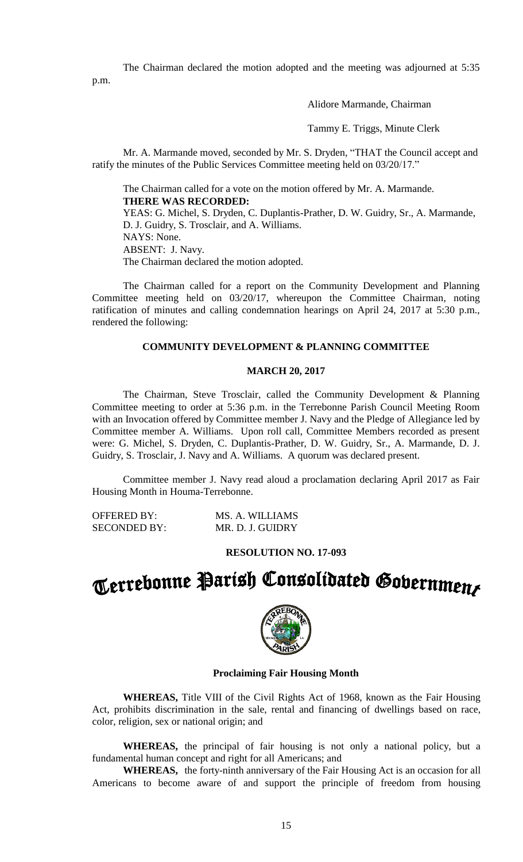The Chairman declared the motion adopted and the meeting was adjourned at 5:35 p.m.

### Alidore Marmande, Chairman

Tammy E. Triggs, Minute Clerk

Mr. A. Marmande moved, seconded by Mr. S. Dryden, "THAT the Council accept and ratify the minutes of the Public Services Committee meeting held on 03/20/17."

The Chairman called for a vote on the motion offered by Mr. A. Marmande. **THERE WAS RECORDED:**

YEAS: G. Michel, S. Dryden, C. Duplantis-Prather, D. W. Guidry, Sr., A. Marmande, D. J. Guidry, S. Trosclair, and A. Williams. NAYS: None. ABSENT: J. Navy. The Chairman declared the motion adopted.

The Chairman called for a report on the Community Development and Planning Committee meeting held on 03/20/17, whereupon the Committee Chairman, noting ratification of minutes and calling condemnation hearings on April 24, 2017 at 5:30 p.m., rendered the following:

#### **COMMUNITY DEVELOPMENT & PLANNING COMMITTEE**

#### **MARCH 20, 2017**

The Chairman, Steve Trosclair, called the Community Development & Planning Committee meeting to order at 5:36 p.m. in the Terrebonne Parish Council Meeting Room with an Invocation offered by Committee member J. Navy and the Pledge of Allegiance led by Committee member A. Williams. Upon roll call, Committee Members recorded as present were: G. Michel, S. Dryden, C. Duplantis-Prather, D. W. Guidry, Sr., A. Marmande, D. J. Guidry, S. Trosclair, J. Navy and A. Williams. A quorum was declared present.

Committee member J. Navy read aloud a proclamation declaring April 2017 as Fair Housing Month in Houma-Terrebonne.

| <b>OFFERED BY:</b>  | MS. A. WILLIAMS  |
|---------------------|------------------|
| <b>SECONDED BY:</b> | MR. D. J. GUIDRY |

#### **RESOLUTION NO. 17-093**

# Terrebonne Parish Consolidated Gobernmens



#### **Proclaiming Fair Housing Month**

**WHEREAS,** Title VIII of the Civil Rights Act of 1968, known as the Fair Housing Act, prohibits discrimination in the sale, rental and financing of dwellings based on race, color, religion, sex or national origin; and

**WHEREAS,** the principal of fair housing is not only a national policy, but a fundamental human concept and right for all Americans; and

**WHEREAS,** the forty-ninth anniversary of the Fair Housing Act is an occasion for all Americans to become aware of and support the principle of freedom from housing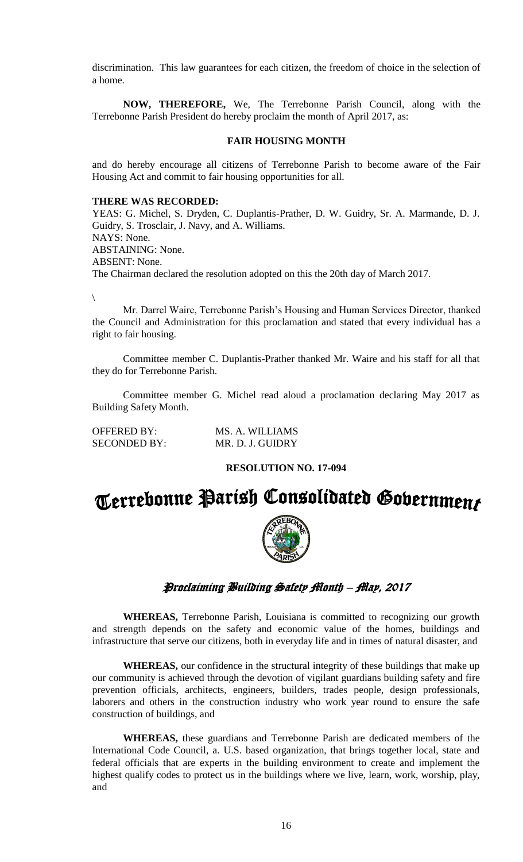discrimination. This law guarantees for each citizen, the freedom of choice in the selection of a home.

**NOW, THEREFORE,** We, The Terrebonne Parish Council, along with the Terrebonne Parish President do hereby proclaim the month of April 2017, as:

#### **FAIR HOUSING MONTH**

and do hereby encourage all citizens of Terrebonne Parish to become aware of the Fair Housing Act and commit to fair housing opportunities for all.

#### **THERE WAS RECORDED:**

YEAS: G. Michel, S. Dryden, C. Duplantis-Prather, D. W. Guidry, Sr. A. Marmande, D. J. Guidry, S. Trosclair, J. Navy, and A. Williams. NAYS: None. ABSTAINING: None. ABSENT: None. The Chairman declared the resolution adopted on this the 20th day of March 2017.

 $\setminus$ 

Mr. Darrel Waire, Terrebonne Parish's Housing and Human Services Director, thanked the Council and Administration for this proclamation and stated that every individual has a right to fair housing.

Committee member C. Duplantis-Prather thanked Mr. Waire and his staff for all that they do for Terrebonne Parish.

Committee member G. Michel read aloud a proclamation declaring May 2017 as Building Safety Month.

| <b>OFFERED BY:</b>  | MS. A. WILLIAMS  |
|---------------------|------------------|
| <b>SECONDED BY:</b> | MR. D. J. GUIDRY |

#### **RESOLUTION NO. 17-094**



#### Proclaiming Building Safety Month – May, 2017

**WHEREAS,** Terrebonne Parish, Louisiana is committed to recognizing our growth and strength depends on the safety and economic value of the homes, buildings and infrastructure that serve our citizens, both in everyday life and in times of natural disaster, and

**WHEREAS,** our confidence in the structural integrity of these buildings that make up our community is achieved through the devotion of vigilant guardians building safety and fire prevention officials, architects, engineers, builders, trades people, design professionals, laborers and others in the construction industry who work year round to ensure the safe construction of buildings, and

**WHEREAS,** these guardians and Terrebonne Parish are dedicated members of the International Code Council, a. U.S. based organization, that brings together local, state and federal officials that are experts in the building environment to create and implement the highest qualify codes to protect us in the buildings where we live, learn, work, worship, play, and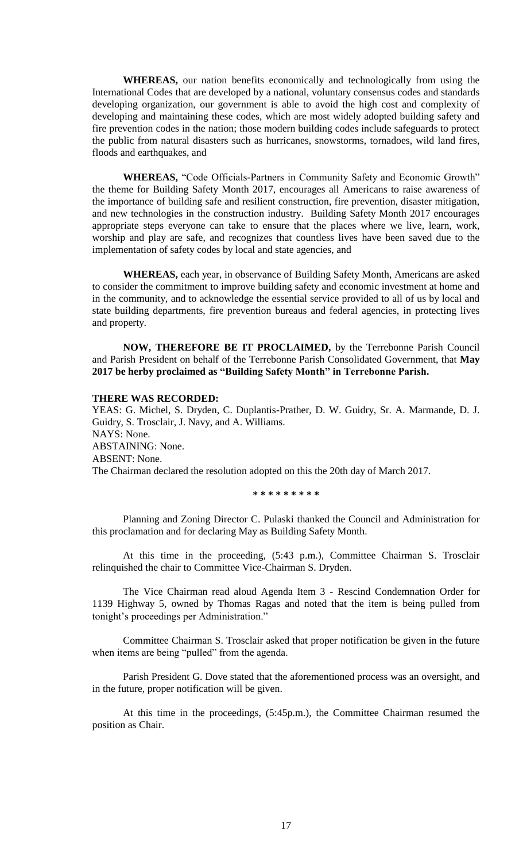**WHEREAS,** our nation benefits economically and technologically from using the International Codes that are developed by a national, voluntary consensus codes and standards developing organization, our government is able to avoid the high cost and complexity of developing and maintaining these codes, which are most widely adopted building safety and fire prevention codes in the nation; those modern building codes include safeguards to protect the public from natural disasters such as hurricanes, snowstorms, tornadoes, wild land fires, floods and earthquakes, and

**WHEREAS,** "Code Officials-Partners in Community Safety and Economic Growth" the theme for Building Safety Month 2017, encourages all Americans to raise awareness of the importance of building safe and resilient construction, fire prevention, disaster mitigation, and new technologies in the construction industry. Building Safety Month 2017 encourages appropriate steps everyone can take to ensure that the places where we live, learn, work, worship and play are safe, and recognizes that countless lives have been saved due to the implementation of safety codes by local and state agencies, and

**WHEREAS,** each year, in observance of Building Safety Month, Americans are asked to consider the commitment to improve building safety and economic investment at home and in the community, and to acknowledge the essential service provided to all of us by local and state building departments, fire prevention bureaus and federal agencies, in protecting lives and property.

**NOW, THEREFORE BE IT PROCLAIMED,** by the Terrebonne Parish Council and Parish President on behalf of the Terrebonne Parish Consolidated Government, that **May 2017 be herby proclaimed as "Building Safety Month" in Terrebonne Parish.**

#### **THERE WAS RECORDED:**

YEAS: G. Michel, S. Dryden, C. Duplantis-Prather, D. W. Guidry, Sr. A. Marmande, D. J. Guidry, S. Trosclair, J. Navy, and A. Williams. NAYS: None. ABSTAINING: None. ABSENT: None. The Chairman declared the resolution adopted on this the 20th day of March 2017.

**\* \* \* \* \* \* \* \* \***

Planning and Zoning Director C. Pulaski thanked the Council and Administration for this proclamation and for declaring May as Building Safety Month.

At this time in the proceeding, (5:43 p.m.), Committee Chairman S. Trosclair relinquished the chair to Committee Vice-Chairman S. Dryden.

The Vice Chairman read aloud Agenda Item 3 - Rescind Condemnation Order for 1139 Highway 5, owned by Thomas Ragas and noted that the item is being pulled from tonight's proceedings per Administration."

Committee Chairman S. Trosclair asked that proper notification be given in the future when items are being "pulled" from the agenda.

Parish President G. Dove stated that the aforementioned process was an oversight, and in the future, proper notification will be given.

At this time in the proceedings, (5:45p.m.), the Committee Chairman resumed the position as Chair.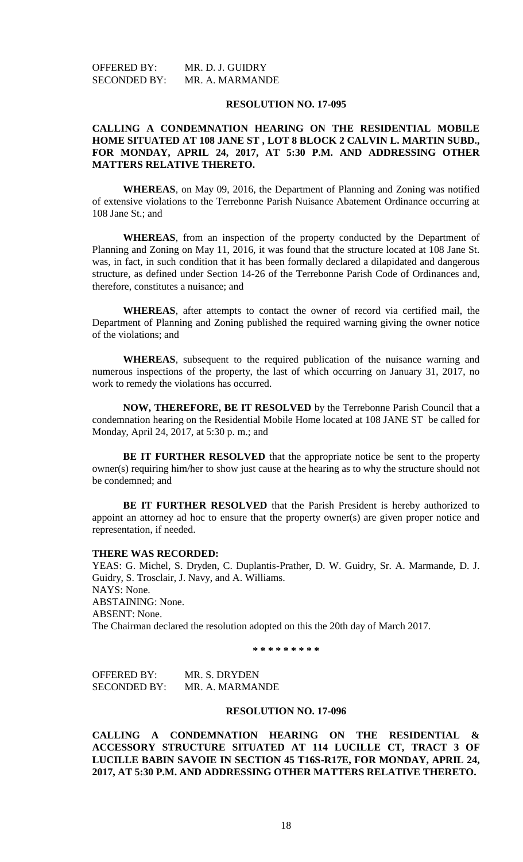| <b>OFFERED BY:</b>  | MR. D. J. GUIDRY |
|---------------------|------------------|
| <b>SECONDED BY:</b> | MR. A. MARMANDE  |

#### **RESOLUTION NO. 17-095**

#### **CALLING A CONDEMNATION HEARING ON THE RESIDENTIAL MOBILE HOME SITUATED AT 108 JANE ST , LOT 8 BLOCK 2 CALVIN L. MARTIN SUBD., FOR MONDAY, APRIL 24, 2017, AT 5:30 P.M. AND ADDRESSING OTHER MATTERS RELATIVE THERETO.**

**WHEREAS**, on May 09, 2016, the Department of Planning and Zoning was notified of extensive violations to the Terrebonne Parish Nuisance Abatement Ordinance occurring at 108 Jane St.; and

**WHEREAS**, from an inspection of the property conducted by the Department of Planning and Zoning on May 11, 2016, it was found that the structure located at 108 Jane St. was, in fact, in such condition that it has been formally declared a dilapidated and dangerous structure, as defined under Section 14-26 of the Terrebonne Parish Code of Ordinances and, therefore, constitutes a nuisance; and

**WHEREAS**, after attempts to contact the owner of record via certified mail, the Department of Planning and Zoning published the required warning giving the owner notice of the violations; and

**WHEREAS**, subsequent to the required publication of the nuisance warning and numerous inspections of the property, the last of which occurring on January 31, 2017, no work to remedy the violations has occurred.

**NOW, THEREFORE, BE IT RESOLVED** by the Terrebonne Parish Council that a condemnation hearing on the Residential Mobile Home located at 108 JANE ST be called for Monday, April 24, 2017, at 5:30 p. m.; and

**BE IT FURTHER RESOLVED** that the appropriate notice be sent to the property owner(s) requiring him/her to show just cause at the hearing as to why the structure should not be condemned; and

**BE IT FURTHER RESOLVED** that the Parish President is hereby authorized to appoint an attorney ad hoc to ensure that the property owner(s) are given proper notice and representation, if needed.

#### **THERE WAS RECORDED:**

YEAS: G. Michel, S. Dryden, C. Duplantis-Prather, D. W. Guidry, Sr. A. Marmande, D. J. Guidry, S. Trosclair, J. Navy, and A. Williams. NAYS: None. ABSTAINING: None. ABSENT: None. The Chairman declared the resolution adopted on this the 20th day of March 2017.

**\* \* \* \* \* \* \* \* \***

OFFERED BY: MR. S. DRYDEN SECONDED BY: MR. A. MARMANDE

#### **RESOLUTION NO. 17-096**

**CALLING A CONDEMNATION HEARING ON THE RESIDENTIAL & ACCESSORY STRUCTURE SITUATED AT 114 LUCILLE CT, TRACT 3 OF LUCILLE BABIN SAVOIE IN SECTION 45 T16S-R17E, FOR MONDAY, APRIL 24, 2017, AT 5:30 P.M. AND ADDRESSING OTHER MATTERS RELATIVE THERETO.**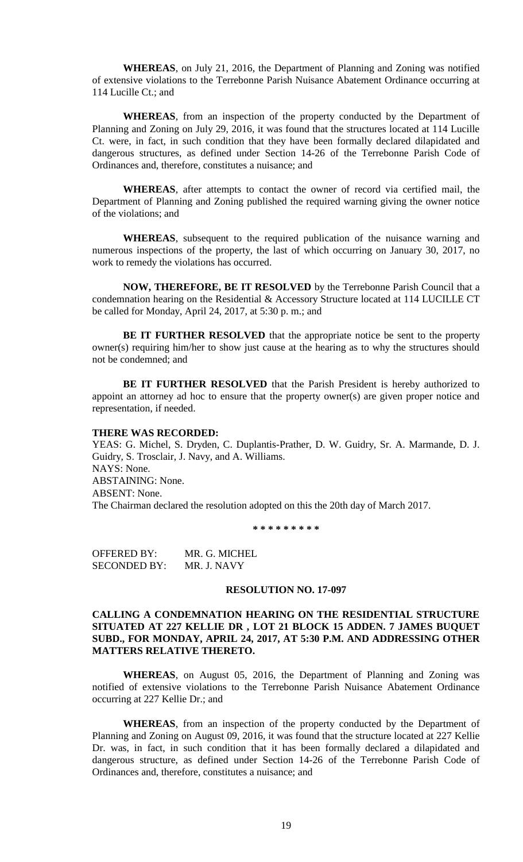**WHEREAS**, on July 21, 2016, the Department of Planning and Zoning was notified of extensive violations to the Terrebonne Parish Nuisance Abatement Ordinance occurring at 114 Lucille Ct.; and

**WHEREAS**, from an inspection of the property conducted by the Department of Planning and Zoning on July 29, 2016, it was found that the structures located at 114 Lucille Ct. were, in fact, in such condition that they have been formally declared dilapidated and dangerous structures, as defined under Section 14-26 of the Terrebonne Parish Code of Ordinances and, therefore, constitutes a nuisance; and

**WHEREAS**, after attempts to contact the owner of record via certified mail, the Department of Planning and Zoning published the required warning giving the owner notice of the violations; and

**WHEREAS**, subsequent to the required publication of the nuisance warning and numerous inspections of the property, the last of which occurring on January 30, 2017, no work to remedy the violations has occurred.

**NOW, THEREFORE, BE IT RESOLVED** by the Terrebonne Parish Council that a condemnation hearing on the Residential & Accessory Structure located at 114 LUCILLE CT be called for Monday, April 24, 2017, at 5:30 p. m.; and

**BE IT FURTHER RESOLVED** that the appropriate notice be sent to the property owner(s) requiring him/her to show just cause at the hearing as to why the structures should not be condemned; and

**BE IT FURTHER RESOLVED** that the Parish President is hereby authorized to appoint an attorney ad hoc to ensure that the property owner(s) are given proper notice and representation, if needed.

#### **THERE WAS RECORDED:**

YEAS: G. Michel, S. Dryden, C. Duplantis-Prather, D. W. Guidry, Sr. A. Marmande, D. J. Guidry, S. Trosclair, J. Navy, and A. Williams. NAYS: None. ABSTAINING: None. ABSENT: None. The Chairman declared the resolution adopted on this the 20th day of March 2017.

**\* \* \* \* \* \* \* \* \***

OFFERED BY: MR. G. MICHEL SECONDED BY: MR. J. NAVY

#### **RESOLUTION NO. 17-097**

#### **CALLING A CONDEMNATION HEARING ON THE RESIDENTIAL STRUCTURE SITUATED AT 227 KELLIE DR , LOT 21 BLOCK 15 ADDEN. 7 JAMES BUQUET SUBD., FOR MONDAY, APRIL 24, 2017, AT 5:30 P.M. AND ADDRESSING OTHER MATTERS RELATIVE THERETO.**

**WHEREAS**, on August 05, 2016, the Department of Planning and Zoning was notified of extensive violations to the Terrebonne Parish Nuisance Abatement Ordinance occurring at 227 Kellie Dr.; and

**WHEREAS**, from an inspection of the property conducted by the Department of Planning and Zoning on August 09, 2016, it was found that the structure located at 227 Kellie Dr. was, in fact, in such condition that it has been formally declared a dilapidated and dangerous structure, as defined under Section 14-26 of the Terrebonne Parish Code of Ordinances and, therefore, constitutes a nuisance; and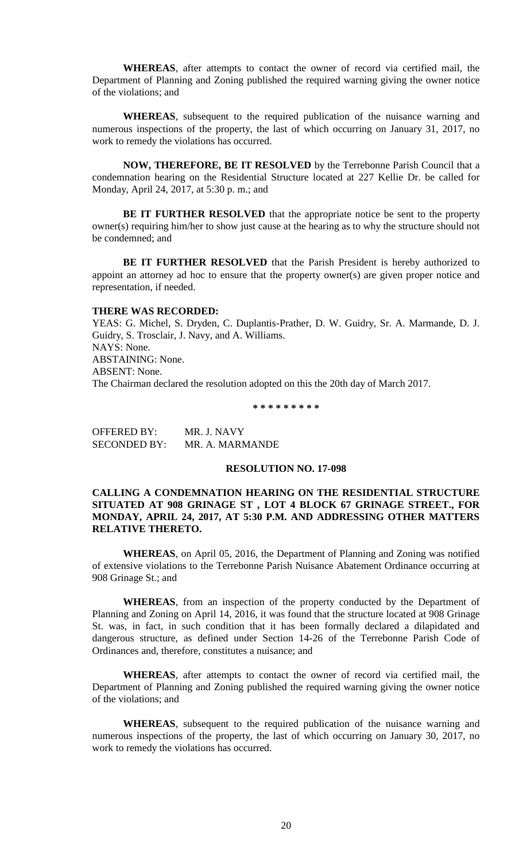**WHEREAS**, after attempts to contact the owner of record via certified mail, the Department of Planning and Zoning published the required warning giving the owner notice of the violations; and

**WHEREAS**, subsequent to the required publication of the nuisance warning and numerous inspections of the property, the last of which occurring on January 31, 2017, no work to remedy the violations has occurred.

**NOW, THEREFORE, BE IT RESOLVED** by the Terrebonne Parish Council that a condemnation hearing on the Residential Structure located at 227 Kellie Dr. be called for Monday, April 24, 2017, at 5:30 p. m.; and

**BE IT FURTHER RESOLVED** that the appropriate notice be sent to the property owner(s) requiring him/her to show just cause at the hearing as to why the structure should not be condemned; and

**BE IT FURTHER RESOLVED** that the Parish President is hereby authorized to appoint an attorney ad hoc to ensure that the property owner(s) are given proper notice and representation, if needed.

#### **THERE WAS RECORDED:**

YEAS: G. Michel, S. Dryden, C. Duplantis-Prather, D. W. Guidry, Sr. A. Marmande, D. J. Guidry, S. Trosclair, J. Navy, and A. Williams. NAYS: None. ABSTAINING: None. ABSENT: None. The Chairman declared the resolution adopted on this the 20th day of March 2017.

**\* \* \* \* \* \* \* \* \***

| OFFERED BY:         | MR. J. NAVY     |
|---------------------|-----------------|
| <b>SECONDED BY:</b> | MR. A. MARMANDE |

#### **RESOLUTION NO. 17-098**

#### **CALLING A CONDEMNATION HEARING ON THE RESIDENTIAL STRUCTURE SITUATED AT 908 GRINAGE ST , LOT 4 BLOCK 67 GRINAGE STREET., FOR MONDAY, APRIL 24, 2017, AT 5:30 P.M. AND ADDRESSING OTHER MATTERS RELATIVE THERETO.**

**WHEREAS**, on April 05, 2016, the Department of Planning and Zoning was notified of extensive violations to the Terrebonne Parish Nuisance Abatement Ordinance occurring at 908 Grinage St.; and

**WHEREAS**, from an inspection of the property conducted by the Department of Planning and Zoning on April 14, 2016, it was found that the structure located at 908 Grinage St. was, in fact, in such condition that it has been formally declared a dilapidated and dangerous structure, as defined under Section 14-26 of the Terrebonne Parish Code of Ordinances and, therefore, constitutes a nuisance; and

**WHEREAS**, after attempts to contact the owner of record via certified mail, the Department of Planning and Zoning published the required warning giving the owner notice of the violations; and

**WHEREAS**, subsequent to the required publication of the nuisance warning and numerous inspections of the property, the last of which occurring on January 30, 2017, no work to remedy the violations has occurred.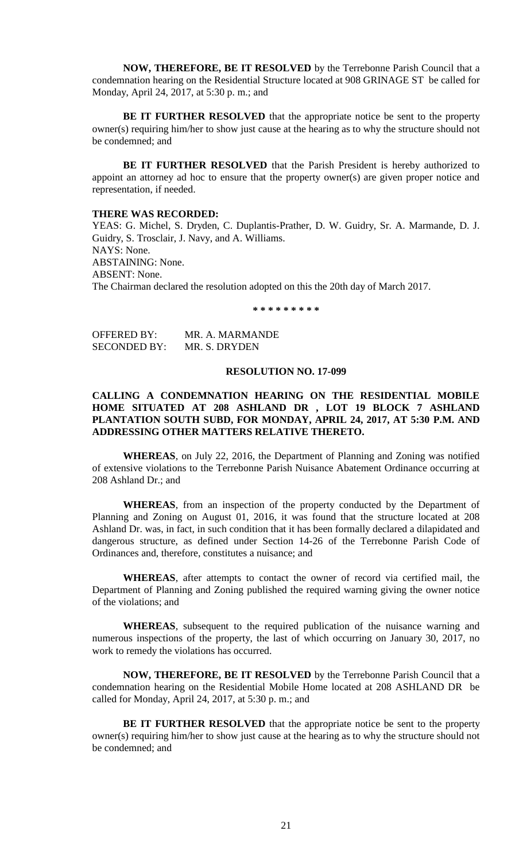**NOW, THEREFORE, BE IT RESOLVED** by the Terrebonne Parish Council that a condemnation hearing on the Residential Structure located at 908 GRINAGE ST be called for Monday, April 24, 2017, at 5:30 p. m.; and

**BE IT FURTHER RESOLVED** that the appropriate notice be sent to the property owner(s) requiring him/her to show just cause at the hearing as to why the structure should not be condemned; and

**BE IT FURTHER RESOLVED** that the Parish President is hereby authorized to appoint an attorney ad hoc to ensure that the property owner(s) are given proper notice and representation, if needed.

#### **THERE WAS RECORDED:**

YEAS: G. Michel, S. Dryden, C. Duplantis-Prather, D. W. Guidry, Sr. A. Marmande, D. J. Guidry, S. Trosclair, J. Navy, and A. Williams. NAYS: None. ABSTAINING: None. ABSENT: None. The Chairman declared the resolution adopted on this the 20th day of March 2017.

**\* \* \* \* \* \* \* \* \***

| <b>OFFERED BY:</b>  | MR. A. MARMANDE |
|---------------------|-----------------|
| <b>SECONDED BY:</b> | MR. S. DRYDEN   |

#### **RESOLUTION NO. 17-099**

#### **CALLING A CONDEMNATION HEARING ON THE RESIDENTIAL MOBILE HOME SITUATED AT 208 ASHLAND DR , LOT 19 BLOCK 7 ASHLAND PLANTATION SOUTH SUBD, FOR MONDAY, APRIL 24, 2017, AT 5:30 P.M. AND ADDRESSING OTHER MATTERS RELATIVE THERETO.**

**WHEREAS**, on July 22, 2016, the Department of Planning and Zoning was notified of extensive violations to the Terrebonne Parish Nuisance Abatement Ordinance occurring at 208 Ashland Dr.; and

**WHEREAS**, from an inspection of the property conducted by the Department of Planning and Zoning on August 01, 2016, it was found that the structure located at 208 Ashland Dr. was, in fact, in such condition that it has been formally declared a dilapidated and dangerous structure, as defined under Section 14-26 of the Terrebonne Parish Code of Ordinances and, therefore, constitutes a nuisance; and

**WHEREAS**, after attempts to contact the owner of record via certified mail, the Department of Planning and Zoning published the required warning giving the owner notice of the violations; and

**WHEREAS**, subsequent to the required publication of the nuisance warning and numerous inspections of the property, the last of which occurring on January 30, 2017, no work to remedy the violations has occurred.

**NOW, THEREFORE, BE IT RESOLVED** by the Terrebonne Parish Council that a condemnation hearing on the Residential Mobile Home located at 208 ASHLAND DR be called for Monday, April 24, 2017, at 5:30 p. m.; and

**BE IT FURTHER RESOLVED** that the appropriate notice be sent to the property owner(s) requiring him/her to show just cause at the hearing as to why the structure should not be condemned; and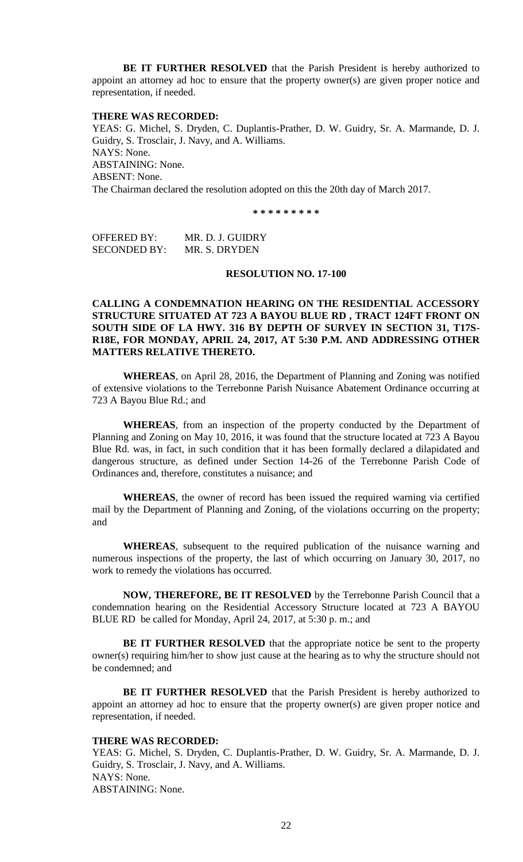**BE IT FURTHER RESOLVED** that the Parish President is hereby authorized to appoint an attorney ad hoc to ensure that the property owner(s) are given proper notice and representation, if needed.

#### **THERE WAS RECORDED:**

YEAS: G. Michel, S. Dryden, C. Duplantis-Prather, D. W. Guidry, Sr. A. Marmande, D. J. Guidry, S. Trosclair, J. Navy, and A. Williams. NAYS: None. ABSTAINING: None. ABSENT: None. The Chairman declared the resolution adopted on this the 20th day of March 2017.

**\* \* \* \* \* \* \* \* \***

OFFERED BY: MR. D. J. GUIDRY SECONDED BY: MR. S. DRYDEN

#### **RESOLUTION NO. 17-100**

**CALLING A CONDEMNATION HEARING ON THE RESIDENTIAL ACCESSORY STRUCTURE SITUATED AT 723 A BAYOU BLUE RD , TRACT 124FT FRONT ON SOUTH SIDE OF LA HWY. 316 BY DEPTH OF SURVEY IN SECTION 31, T17S-R18E, FOR MONDAY, APRIL 24, 2017, AT 5:30 P.M. AND ADDRESSING OTHER MATTERS RELATIVE THERETO.**

**WHEREAS**, on April 28, 2016, the Department of Planning and Zoning was notified of extensive violations to the Terrebonne Parish Nuisance Abatement Ordinance occurring at 723 A Bayou Blue Rd.; and

**WHEREAS**, from an inspection of the property conducted by the Department of Planning and Zoning on May 10, 2016, it was found that the structure located at 723 A Bayou Blue Rd. was, in fact, in such condition that it has been formally declared a dilapidated and dangerous structure, as defined under Section 14-26 of the Terrebonne Parish Code of Ordinances and, therefore, constitutes a nuisance; and

**WHEREAS**, the owner of record has been issued the required warning via certified mail by the Department of Planning and Zoning, of the violations occurring on the property; and

**WHEREAS**, subsequent to the required publication of the nuisance warning and numerous inspections of the property, the last of which occurring on January 30, 2017, no work to remedy the violations has occurred.

**NOW, THEREFORE, BE IT RESOLVED** by the Terrebonne Parish Council that a condemnation hearing on the Residential Accessory Structure located at 723 A BAYOU BLUE RD be called for Monday, April 24, 2017, at 5:30 p. m.; and

**BE IT FURTHER RESOLVED** that the appropriate notice be sent to the property owner(s) requiring him/her to show just cause at the hearing as to why the structure should not be condemned; and

**BE IT FURTHER RESOLVED** that the Parish President is hereby authorized to appoint an attorney ad hoc to ensure that the property owner(s) are given proper notice and representation, if needed.

#### **THERE WAS RECORDED:**

YEAS: G. Michel, S. Dryden, C. Duplantis-Prather, D. W. Guidry, Sr. A. Marmande, D. J. Guidry, S. Trosclair, J. Navy, and A. Williams. NAYS: None. ABSTAINING: None.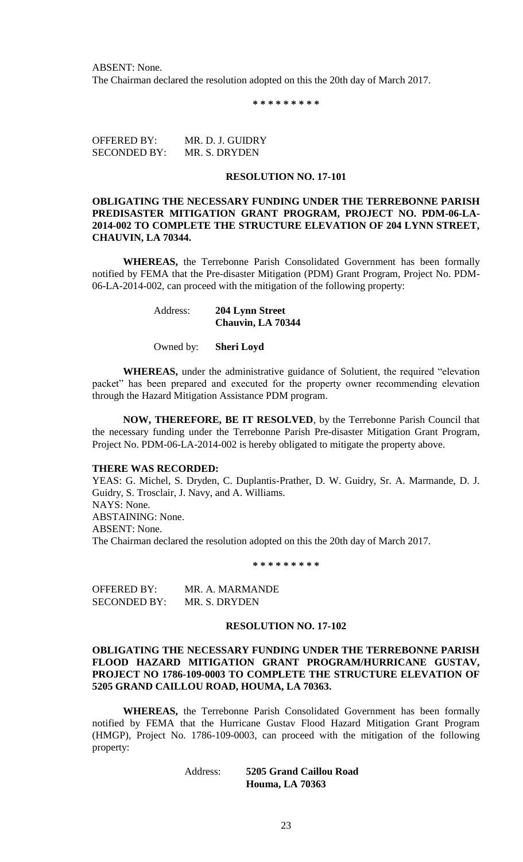ABSENT: None. The Chairman declared the resolution adopted on this the 20th day of March 2017.

**\* \* \* \* \* \* \* \* \***

OFFERED BY: MR. D. J. GUIDRY SECONDED BY: MR. S. DRYDEN

#### **RESOLUTION NO. 17-101**

**OBLIGATING THE NECESSARY FUNDING UNDER THE TERREBONNE PARISH PREDISASTER MITIGATION GRANT PROGRAM, PROJECT NO. PDM-06-LA-2014-002 TO COMPLETE THE STRUCTURE ELEVATION OF 204 LYNN STREET, CHAUVIN, LA 70344.**

**WHEREAS,** the Terrebonne Parish Consolidated Government has been formally notified by FEMA that the Pre-disaster Mitigation (PDM) Grant Program, Project No. PDM-06-LA-2014-002, can proceed with the mitigation of the following property:

> Address: **204 Lynn Street Chauvin, LA 70344**

Owned by: **Sheri Loyd**

**WHEREAS,** under the administrative guidance of Solutient, the required "elevation packet" has been prepared and executed for the property owner recommending elevation through the Hazard Mitigation Assistance PDM program.

**NOW, THEREFORE, BE IT RESOLVED**, by the Terrebonne Parish Council that the necessary funding under the Terrebonne Parish Pre-disaster Mitigation Grant Program, Project No. PDM-06-LA-2014-002 is hereby obligated to mitigate the property above.

#### **THERE WAS RECORDED:**

YEAS: G. Michel, S. Dryden, C. Duplantis-Prather, D. W. Guidry, Sr. A. Marmande, D. J. Guidry, S. Trosclair, J. Navy, and A. Williams. NAYS: None. ABSTAINING: None. ABSENT: None. The Chairman declared the resolution adopted on this the 20th day of March 2017.

**\* \* \* \* \* \* \* \* \***

OFFERED BY: MR. A. MARMANDE SECONDED BY: MR. S. DRYDEN

#### **RESOLUTION NO. 17-102**

#### **OBLIGATING THE NECESSARY FUNDING UNDER THE TERREBONNE PARISH FLOOD HAZARD MITIGATION GRANT PROGRAM/HURRICANE GUSTAV, PROJECT NO 1786-109-0003 TO COMPLETE THE STRUCTURE ELEVATION OF 5205 GRAND CAILLOU ROAD, HOUMA, LA 70363.**

**WHEREAS,** the Terrebonne Parish Consolidated Government has been formally notified by FEMA that the Hurricane Gustav Flood Hazard Mitigation Grant Program (HMGP), Project No. 1786-109-0003, can proceed with the mitigation of the following property:

> Address: **5205 Grand Caillou Road Houma, LA 70363**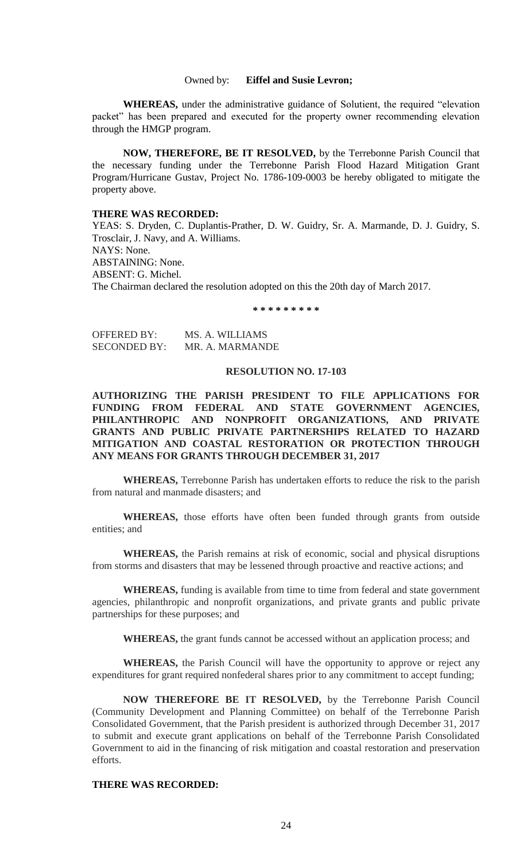#### Owned by: **Eiffel and Susie Levron;**

**WHEREAS,** under the administrative guidance of Solutient, the required "elevation packet" has been prepared and executed for the property owner recommending elevation through the HMGP program.

**NOW, THEREFORE, BE IT RESOLVED,** by the Terrebonne Parish Council that the necessary funding under the Terrebonne Parish Flood Hazard Mitigation Grant Program/Hurricane Gustav, Project No. 1786-109-0003 be hereby obligated to mitigate the property above.

#### **THERE WAS RECORDED:**

YEAS: S. Dryden, C. Duplantis-Prather, D. W. Guidry, Sr. A. Marmande, D. J. Guidry, S. Trosclair, J. Navy, and A. Williams. NAYS: None. ABSTAINING: None. ABSENT: G. Michel. The Chairman declared the resolution adopted on this the 20th day of March 2017.

**\* \* \* \* \* \* \* \* \***

| <b>OFFERED BY:</b>  | MS. A. WILLIAMS |
|---------------------|-----------------|
| <b>SECONDED BY:</b> | MR. A. MARMANDE |

#### **RESOLUTION NO. 17-103**

**AUTHORIZING THE PARISH PRESIDENT TO FILE APPLICATIONS FOR FUNDING FROM FEDERAL AND STATE GOVERNMENT AGENCIES, PHILANTHROPIC AND NONPROFIT ORGANIZATIONS, AND PRIVATE GRANTS AND PUBLIC PRIVATE PARTNERSHIPS RELATED TO HAZARD MITIGATION AND COASTAL RESTORATION OR PROTECTION THROUGH ANY MEANS FOR GRANTS THROUGH DECEMBER 31, 2017**

**WHEREAS,** Terrebonne Parish has undertaken efforts to reduce the risk to the parish from natural and manmade disasters; and

**WHEREAS,** those efforts have often been funded through grants from outside entities; and

**WHEREAS,** the Parish remains at risk of economic, social and physical disruptions from storms and disasters that may be lessened through proactive and reactive actions; and

**WHEREAS,** funding is available from time to time from federal and state government agencies, philanthropic and nonprofit organizations, and private grants and public private partnerships for these purposes; and

**WHEREAS,** the grant funds cannot be accessed without an application process; and

**WHEREAS,** the Parish Council will have the opportunity to approve or reject any expenditures for grant required nonfederal shares prior to any commitment to accept funding;

**NOW THEREFORE BE IT RESOLVED,** by the Terrebonne Parish Council (Community Development and Planning Committee) on behalf of the Terrebonne Parish Consolidated Government, that the Parish president is authorized through December 31, 2017 to submit and execute grant applications on behalf of the Terrebonne Parish Consolidated Government to aid in the financing of risk mitigation and coastal restoration and preservation efforts.

#### **THERE WAS RECORDED:**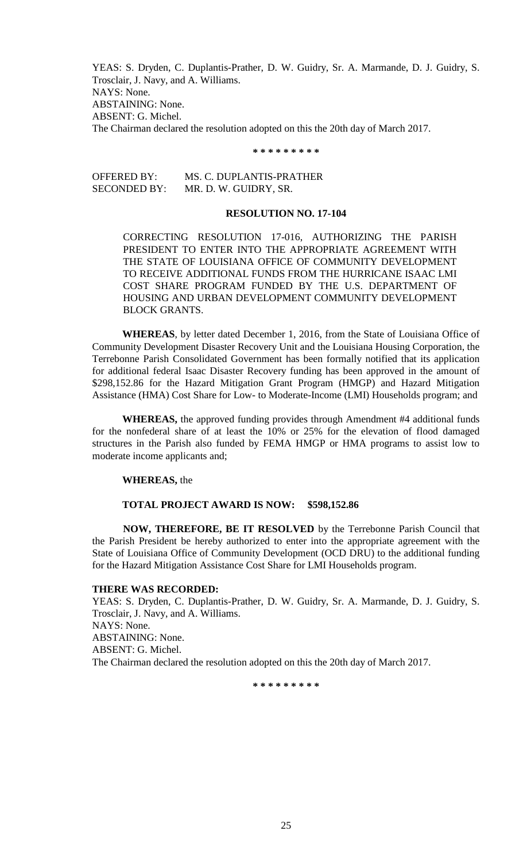YEAS: S. Dryden, C. Duplantis-Prather, D. W. Guidry, Sr. A. Marmande, D. J. Guidry, S. Trosclair, J. Navy, and A. Williams. NAYS: None. ABSTAINING: None. ABSENT: G. Michel. The Chairman declared the resolution adopted on this the 20th day of March 2017.

#### **\* \* \* \* \* \* \* \* \***

OFFERED BY: MS. C. DUPLANTIS-PRATHER SECONDED BY: MR. D. W. GUIDRY, SR.

#### **RESOLUTION NO. 17-104**

CORRECTING RESOLUTION 17-016, AUTHORIZING THE PARISH PRESIDENT TO ENTER INTO THE APPROPRIATE AGREEMENT WITH THE STATE OF LOUISIANA OFFICE OF COMMUNITY DEVELOPMENT TO RECEIVE ADDITIONAL FUNDS FROM THE HURRICANE ISAAC LMI COST SHARE PROGRAM FUNDED BY THE U.S. DEPARTMENT OF HOUSING AND URBAN DEVELOPMENT COMMUNITY DEVELOPMENT BLOCK GRANTS.

**WHEREAS**, by letter dated December 1, 2016, from the State of Louisiana Office of Community Development Disaster Recovery Unit and the Louisiana Housing Corporation, the Terrebonne Parish Consolidated Government has been formally notified that its application for additional federal Isaac Disaster Recovery funding has been approved in the amount of \$298,152.86 for the Hazard Mitigation Grant Program (HMGP) and Hazard Mitigation Assistance (HMA) Cost Share for Low- to Moderate-Income (LMI) Households program; and

**WHEREAS,** the approved funding provides through Amendment #4 additional funds for the nonfederal share of at least the 10% or 25% for the elevation of flood damaged structures in the Parish also funded by FEMA HMGP or HMA programs to assist low to moderate income applicants and;

#### **WHEREAS,** the

#### **TOTAL PROJECT AWARD IS NOW: \$598,152.86**

**NOW, THEREFORE, BE IT RESOLVED** by the Terrebonne Parish Council that the Parish President be hereby authorized to enter into the appropriate agreement with the State of Louisiana Office of Community Development (OCD DRU) to the additional funding for the Hazard Mitigation Assistance Cost Share for LMI Households program.

#### **THERE WAS RECORDED:**

YEAS: S. Dryden, C. Duplantis-Prather, D. W. Guidry, Sr. A. Marmande, D. J. Guidry, S. Trosclair, J. Navy, and A. Williams. NAYS: None. ABSTAINING: None. ABSENT: G. Michel. The Chairman declared the resolution adopted on this the 20th day of March 2017.

**\* \* \* \* \* \* \* \* \***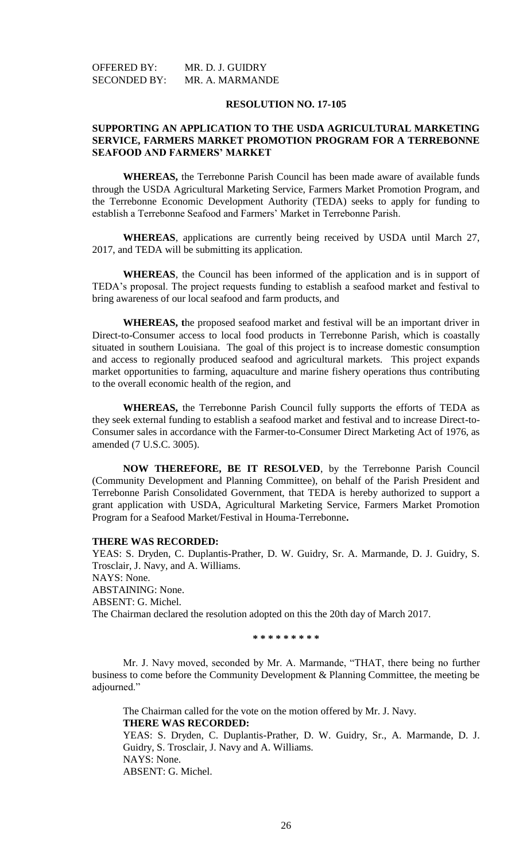#### **RESOLUTION NO. 17-105**

#### **SUPPORTING AN APPLICATION TO THE USDA AGRICULTURAL MARKETING SERVICE, FARMERS MARKET PROMOTION PROGRAM FOR A TERREBONNE SEAFOOD AND FARMERS' MARKET**

**WHEREAS,** the Terrebonne Parish Council has been made aware of available funds through the USDA Agricultural Marketing Service, Farmers Market Promotion Program, and the Terrebonne Economic Development Authority (TEDA) seeks to apply for funding to establish a Terrebonne Seafood and Farmers' Market in Terrebonne Parish.

**WHEREAS**, applications are currently being received by USDA until March 27, 2017, and TEDA will be submitting its application.

**WHEREAS**, the Council has been informed of the application and is in support of TEDA's proposal. The project requests funding to establish a seafood market and festival to bring awareness of our local seafood and farm products, and

**WHEREAS, t**he proposed seafood market and festival will be an important driver in Direct-to-Consumer access to local food products in Terrebonne Parish, which is coastally situated in southern Louisiana. The goal of this project is to increase domestic consumption and access to regionally produced seafood and agricultural markets. This project expands market opportunities to farming, aquaculture and marine fishery operations thus contributing to the overall economic health of the region, and

**WHEREAS,** the Terrebonne Parish Council fully supports the efforts of TEDA as they seek external funding to establish a seafood market and festival and to increase Direct-to-Consumer sales in accordance with the Farmer-to-Consumer Direct Marketing Act of 1976, as amended (7 U.S.C. 3005).

**NOW THEREFORE, BE IT RESOLVED**, by the Terrebonne Parish Council (Community Development and Planning Committee), on behalf of the Parish President and Terrebonne Parish Consolidated Government, that TEDA is hereby authorized to support a grant application with USDA, Agricultural Marketing Service, Farmers Market Promotion Program for a Seafood Market/Festival in Houma-Terrebonne**.**

#### **THERE WAS RECORDED:**

YEAS: S. Dryden, C. Duplantis-Prather, D. W. Guidry, Sr. A. Marmande, D. J. Guidry, S. Trosclair, J. Navy, and A. Williams. NAYS: None. ABSTAINING: None. ABSENT: G. Michel. The Chairman declared the resolution adopted on this the 20th day of March 2017.

**\* \* \* \* \* \* \* \* \***

Mr. J. Navy moved, seconded by Mr. A. Marmande, "THAT, there being no further business to come before the Community Development & Planning Committee, the meeting be adjourned."

The Chairman called for the vote on the motion offered by Mr. J. Navy. **THERE WAS RECORDED:** YEAS: S. Dryden, C. Duplantis-Prather, D. W. Guidry, Sr., A. Marmande, D. J. Guidry, S. Trosclair, J. Navy and A. Williams. NAYS: None. ABSENT: G. Michel.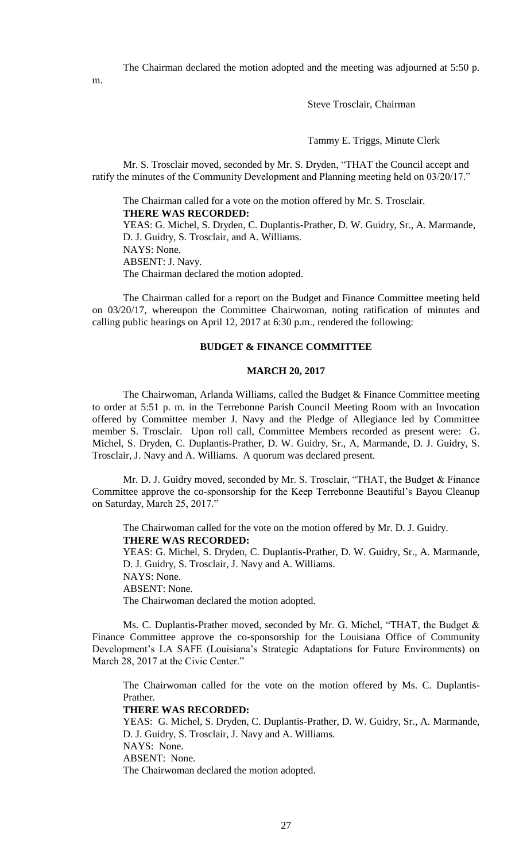The Chairman declared the motion adopted and the meeting was adjourned at 5:50 p.

m.

### Steve Trosclair, Chairman

Tammy E. Triggs, Minute Clerk

Mr. S. Trosclair moved, seconded by Mr. S. Dryden, "THAT the Council accept and ratify the minutes of the Community Development and Planning meeting held on 03/20/17."

The Chairman called for a vote on the motion offered by Mr. S. Trosclair. **THERE WAS RECORDED:** YEAS: G. Michel, S. Dryden, C. Duplantis-Prather, D. W. Guidry, Sr., A. Marmande, D. J. Guidry, S. Trosclair, and A. Williams. NAYS: None. ABSENT: J. Navy. The Chairman declared the motion adopted.

The Chairman called for a report on the Budget and Finance Committee meeting held on 03/20/17, whereupon the Committee Chairwoman, noting ratification of minutes and calling public hearings on April 12, 2017 at 6:30 p.m., rendered the following:

#### **BUDGET & FINANCE COMMITTEE**

#### **MARCH 20, 2017**

The Chairwoman, Arlanda Williams, called the Budget & Finance Committee meeting to order at 5:51 p. m. in the Terrebonne Parish Council Meeting Room with an Invocation offered by Committee member J. Navy and the Pledge of Allegiance led by Committee member S. Trosclair. Upon roll call, Committee Members recorded as present were: G. Michel, S. Dryden, C. Duplantis-Prather, D. W. Guidry, Sr., A, Marmande, D. J. Guidry, S. Trosclair, J. Navy and A. Williams. A quorum was declared present.

Mr. D. J. Guidry moved, seconded by Mr. S. Trosclair, "THAT, the Budget & Finance Committee approve the co-sponsorship for the Keep Terrebonne Beautiful's Bayou Cleanup on Saturday, March 25, 2017."

The Chairwoman called for the vote on the motion offered by Mr. D. J. Guidry. **THERE WAS RECORDED:**

YEAS: G. Michel, S. Dryden, C. Duplantis-Prather, D. W. Guidry, Sr., A. Marmande, D. J. Guidry, S. Trosclair, J. Navy and A. Williams.

NAYS: None.

ABSENT: None.

The Chairwoman declared the motion adopted.

Ms. C. Duplantis-Prather moved, seconded by Mr. G. Michel, "THAT, the Budget & Finance Committee approve the co-sponsorship for the Louisiana Office of Community Development's LA SAFE (Louisiana's Strategic Adaptations for Future Environments) on March 28, 2017 at the Civic Center."

The Chairwoman called for the vote on the motion offered by Ms. C. Duplantis-Prather.

#### **THERE WAS RECORDED:**

YEAS: G. Michel, S. Dryden, C. Duplantis-Prather, D. W. Guidry, Sr., A. Marmande, D. J. Guidry, S. Trosclair, J. Navy and A. Williams. NAYS: None. ABSENT: None. The Chairwoman declared the motion adopted.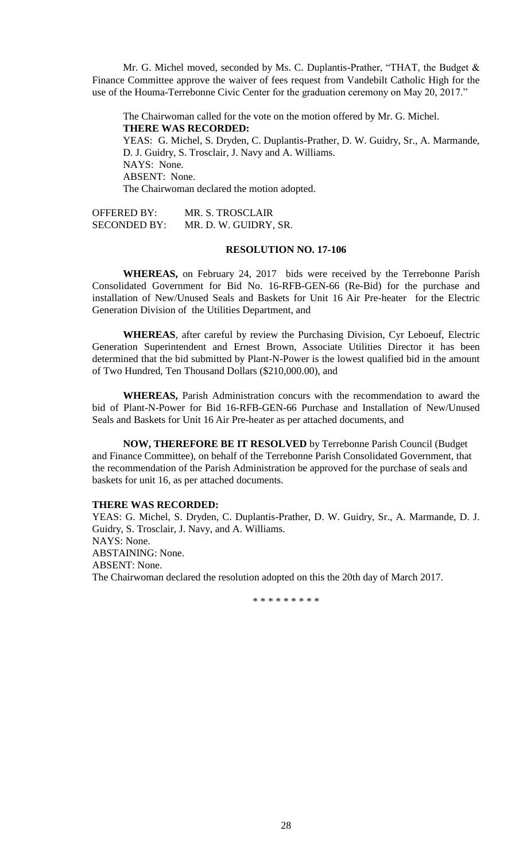Mr. G. Michel moved, seconded by Ms. C. Duplantis-Prather, "THAT, the Budget & Finance Committee approve the waiver of fees request from Vandebilt Catholic High for the use of the Houma-Terrebonne Civic Center for the graduation ceremony on May 20, 2017."

The Chairwoman called for the vote on the motion offered by Mr. G. Michel. **THERE WAS RECORDED:** YEAS: G. Michel, S. Dryden, C. Duplantis-Prather, D. W. Guidry, Sr., A. Marmande, D. J. Guidry, S. Trosclair, J. Navy and A. Williams. NAYS: None. ABSENT: None. The Chairwoman declared the motion adopted.

OFFERED BY: MR. S. TROSCLAIR SECONDED BY: MR. D. W. GUIDRY, SR.

#### **RESOLUTION NO. 17-106**

**WHEREAS,** on February 24, 2017 bids were received by the Terrebonne Parish Consolidated Government for Bid No. 16-RFB-GEN-66 (Re-Bid) for the purchase and installation of New/Unused Seals and Baskets for Unit 16 Air Pre-heater for the Electric Generation Division of the Utilities Department, and

**WHEREAS**, after careful by review the Purchasing Division, Cyr Leboeuf, Electric Generation Superintendent and Ernest Brown, Associate Utilities Director it has been determined that the bid submitted by Plant-N-Power is the lowest qualified bid in the amount of Two Hundred, Ten Thousand Dollars (\$210,000.00), and

**WHEREAS,** Parish Administration concurs with the recommendation to award the bid of Plant-N-Power for Bid 16-RFB-GEN-66 Purchase and Installation of New/Unused Seals and Baskets for Unit 16 Air Pre-heater as per attached documents, and

**NOW, THEREFORE BE IT RESOLVED** by Terrebonne Parish Council (Budget and Finance Committee), on behalf of the Terrebonne Parish Consolidated Government, that the recommendation of the Parish Administration be approved for the purchase of seals and baskets for unit 16, as per attached documents.

#### **THERE WAS RECORDED:**

YEAS: G. Michel, S. Dryden, C. Duplantis-Prather, D. W. Guidry, Sr., A. Marmande, D. J. Guidry, S. Trosclair, J. Navy, and A. Williams. NAYS: None. ABSTAINING: None. ABSENT: None. The Chairwoman declared the resolution adopted on this the 20th day of March 2017.

\* \* \* \* \* \* \* \* \*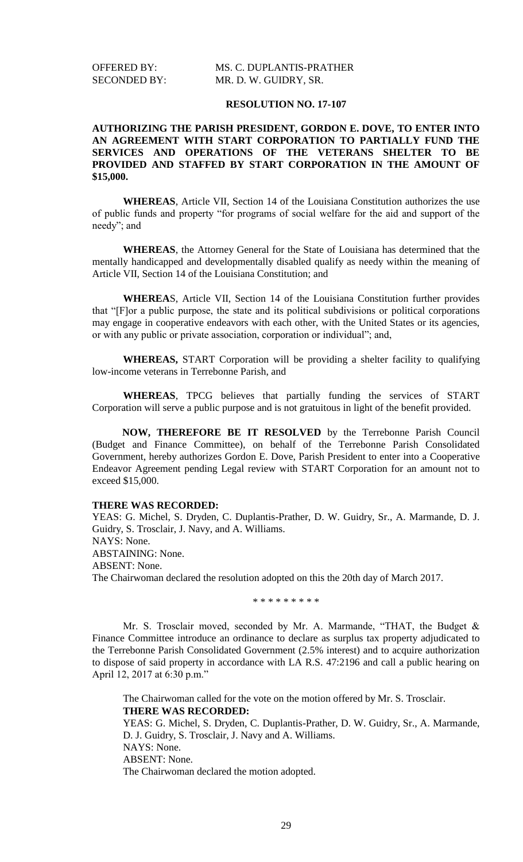#### **RESOLUTION NO. 17-107**

#### **AUTHORIZING THE PARISH PRESIDENT, GORDON E. DOVE, TO ENTER INTO AN AGREEMENT WITH START CORPORATION TO PARTIALLY FUND THE SERVICES AND OPERATIONS OF THE VETERANS SHELTER TO BE PROVIDED AND STAFFED BY START CORPORATION IN THE AMOUNT OF \$15,000.**

**WHEREAS**, Article VII, Section 14 of the Louisiana Constitution authorizes the use of public funds and property "for programs of social welfare for the aid and support of the needy"; and

**WHEREAS**, the Attorney General for the State of Louisiana has determined that the mentally handicapped and developmentally disabled qualify as needy within the meaning of Article VII, Section 14 of the Louisiana Constitution; and

**WHEREA**S, Article VII, Section 14 of the Louisiana Constitution further provides that "[F]or a public purpose, the state and its political subdivisions or political corporations may engage in cooperative endeavors with each other, with the United States or its agencies, or with any public or private association, corporation or individual"; and,

**WHEREAS,** START Corporation will be providing a shelter facility to qualifying low-income veterans in Terrebonne Parish, and

**WHEREAS**, TPCG believes that partially funding the services of START Corporation will serve a public purpose and is not gratuitous in light of the benefit provided.

**NOW, THEREFORE BE IT RESOLVED** by the Terrebonne Parish Council (Budget and Finance Committee), on behalf of the Terrebonne Parish Consolidated Government, hereby authorizes Gordon E. Dove, Parish President to enter into a Cooperative Endeavor Agreement pending Legal review with START Corporation for an amount not to exceed \$15,000.

#### **THERE WAS RECORDED:**

YEAS: G. Michel, S. Dryden, C. Duplantis-Prather, D. W. Guidry, Sr., A. Marmande, D. J. Guidry, S. Trosclair, J. Navy, and A. Williams. NAYS: None. ABSTAINING: None. ABSENT: None. The Chairwoman declared the resolution adopted on this the 20th day of March 2017.

\* \* \* \* \* \* \* \* \*

Mr. S. Trosclair moved, seconded by Mr. A. Marmande, "THAT, the Budget & Finance Committee introduce an ordinance to declare as surplus tax property adjudicated to the Terrebonne Parish Consolidated Government (2.5% interest) and to acquire authorization to dispose of said property in accordance with LA R.S. 47:2196 and call a public hearing on April 12, 2017 at 6:30 p.m."

The Chairwoman called for the vote on the motion offered by Mr. S. Trosclair. **THERE WAS RECORDED:** YEAS: G. Michel, S. Dryden, C. Duplantis-Prather, D. W. Guidry, Sr., A. Marmande, D. J. Guidry, S. Trosclair, J. Navy and A. Williams. NAYS: None. ABSENT: None. The Chairwoman declared the motion adopted.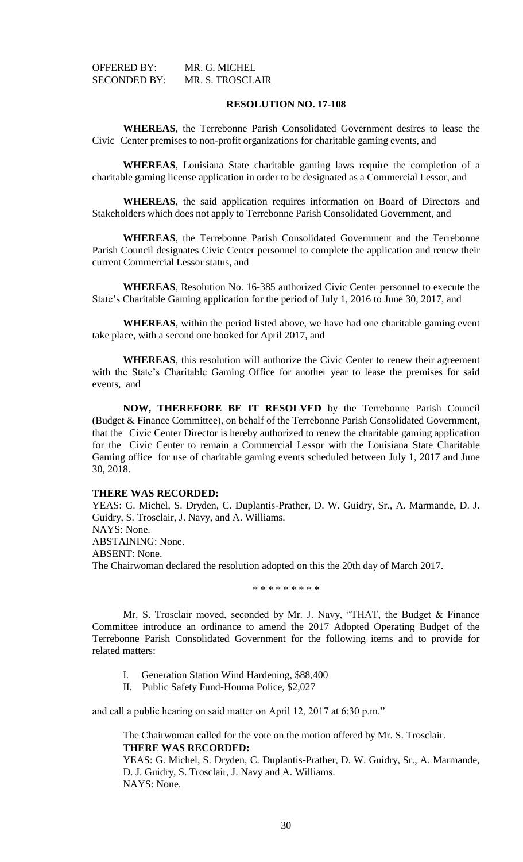| OFFERED BY:         | MR. G. MICHEL           |
|---------------------|-------------------------|
| <b>SECONDED BY:</b> | <b>MR. S. TROSCLAIR</b> |

#### **RESOLUTION NO. 17-108**

**WHEREAS**, the Terrebonne Parish Consolidated Government desires to lease the Civic Center premises to non-profit organizations for charitable gaming events, and

**WHEREAS**, Louisiana State charitable gaming laws require the completion of a charitable gaming license application in order to be designated as a Commercial Lessor, and

**WHEREAS**, the said application requires information on Board of Directors and Stakeholders which does not apply to Terrebonne Parish Consolidated Government, and

**WHEREAS**, the Terrebonne Parish Consolidated Government and the Terrebonne Parish Council designates Civic Center personnel to complete the application and renew their current Commercial Lessor status, and

**WHEREAS**, Resolution No. 16-385 authorized Civic Center personnel to execute the State's Charitable Gaming application for the period of July 1, 2016 to June 30, 2017, and

**WHEREAS**, within the period listed above, we have had one charitable gaming event take place, with a second one booked for April 2017, and

**WHEREAS**, this resolution will authorize the Civic Center to renew their agreement with the State's Charitable Gaming Office for another year to lease the premises for said events, and

**NOW, THEREFORE BE IT RESOLVED** by the Terrebonne Parish Council (Budget & Finance Committee), on behalf of the Terrebonne Parish Consolidated Government, that the Civic Center Director is hereby authorized to renew the charitable gaming application for the Civic Center to remain a Commercial Lessor with the Louisiana State Charitable Gaming office for use of charitable gaming events scheduled between July 1, 2017 and June 30, 2018.

#### **THERE WAS RECORDED:**

YEAS: G. Michel, S. Dryden, C. Duplantis-Prather, D. W. Guidry, Sr., A. Marmande, D. J. Guidry, S. Trosclair, J. Navy, and A. Williams. NAYS: None. ABSTAINING: None. ABSENT: None. The Chairwoman declared the resolution adopted on this the 20th day of March 2017.

\* \* \* \* \* \* \* \* \*

Mr. S. Trosclair moved, seconded by Mr. J. Navy, "THAT, the Budget & Finance Committee introduce an ordinance to amend the 2017 Adopted Operating Budget of the Terrebonne Parish Consolidated Government for the following items and to provide for related matters:

- I. Generation Station Wind Hardening, \$88,400
- II. Public Safety Fund-Houma Police, \$2,027

and call a public hearing on said matter on April 12, 2017 at 6:30 p.m."

The Chairwoman called for the vote on the motion offered by Mr. S. Trosclair. **THERE WAS RECORDED:**

YEAS: G. Michel, S. Dryden, C. Duplantis-Prather, D. W. Guidry, Sr., A. Marmande, D. J. Guidry, S. Trosclair, J. Navy and A. Williams. NAYS: None.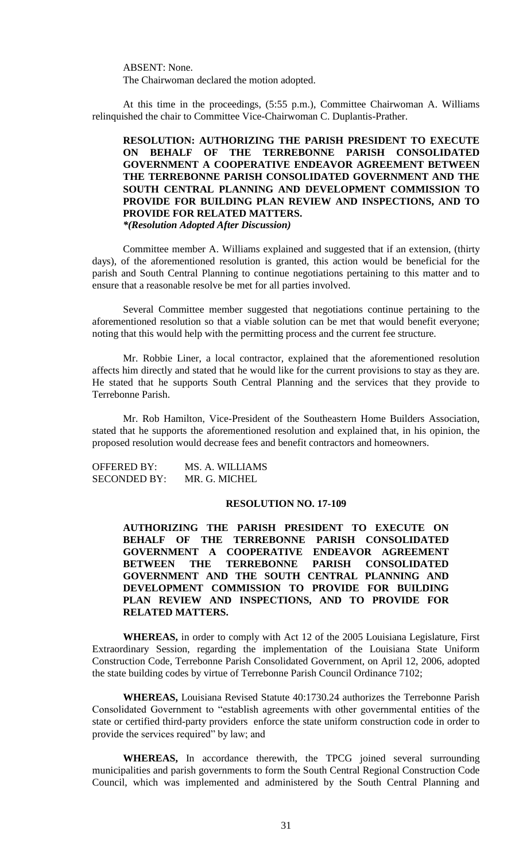ABSENT: None. The Chairwoman declared the motion adopted.

At this time in the proceedings, (5:55 p.m.), Committee Chairwoman A. Williams relinquished the chair to Committee Vice-Chairwoman C. Duplantis-Prather.

**RESOLUTION: AUTHORIZING THE PARISH PRESIDENT TO EXECUTE ON BEHALF OF THE TERREBONNE PARISH CONSOLIDATED GOVERNMENT A COOPERATIVE ENDEAVOR AGREEMENT BETWEEN THE TERREBONNE PARISH CONSOLIDATED GOVERNMENT AND THE SOUTH CENTRAL PLANNING AND DEVELOPMENT COMMISSION TO PROVIDE FOR BUILDING PLAN REVIEW AND INSPECTIONS, AND TO PROVIDE FOR RELATED MATTERS.** *\*(Resolution Adopted After Discussion)*

Committee member A. Williams explained and suggested that if an extension, (thirty days), of the aforementioned resolution is granted, this action would be beneficial for the parish and South Central Planning to continue negotiations pertaining to this matter and to ensure that a reasonable resolve be met for all parties involved.

Several Committee member suggested that negotiations continue pertaining to the aforementioned resolution so that a viable solution can be met that would benefit everyone; noting that this would help with the permitting process and the current fee structure.

Mr. Robbie Liner, a local contractor, explained that the aforementioned resolution affects him directly and stated that he would like for the current provisions to stay as they are. He stated that he supports South Central Planning and the services that they provide to Terrebonne Parish.

Mr. Rob Hamilton, Vice-President of the Southeastern Home Builders Association, stated that he supports the aforementioned resolution and explained that, in his opinion, the proposed resolution would decrease fees and benefit contractors and homeowners.

OFFERED BY: MS. A. WILLIAMS SECONDED BY: MR. G. MICHEL

#### **RESOLUTION NO. 17-109**

**AUTHORIZING THE PARISH PRESIDENT TO EXECUTE ON BEHALF OF THE TERREBONNE PARISH CONSOLIDATED GOVERNMENT A COOPERATIVE ENDEAVOR AGREEMENT BETWEEN THE TERREBONNE PARISH CONSOLIDATED GOVERNMENT AND THE SOUTH CENTRAL PLANNING AND DEVELOPMENT COMMISSION TO PROVIDE FOR BUILDING PLAN REVIEW AND INSPECTIONS, AND TO PROVIDE FOR RELATED MATTERS.**

**WHEREAS,** in order to comply with Act 12 of the 2005 Louisiana Legislature, First Extraordinary Session, regarding the implementation of the Louisiana State Uniform Construction Code, Terrebonne Parish Consolidated Government, on April 12, 2006, adopted the state building codes by virtue of Terrebonne Parish Council Ordinance 7102;

**WHEREAS,** Louisiana Revised Statute 40:1730.24 authorizes the Terrebonne Parish Consolidated Government to "establish agreements with other governmental entities of the state or certified third-party providers enforce the state uniform construction code in order to provide the services required" by law; and

**WHEREAS,** In accordance therewith, the TPCG joined several surrounding municipalities and parish governments to form the South Central Regional Construction Code Council, which was implemented and administered by the South Central Planning and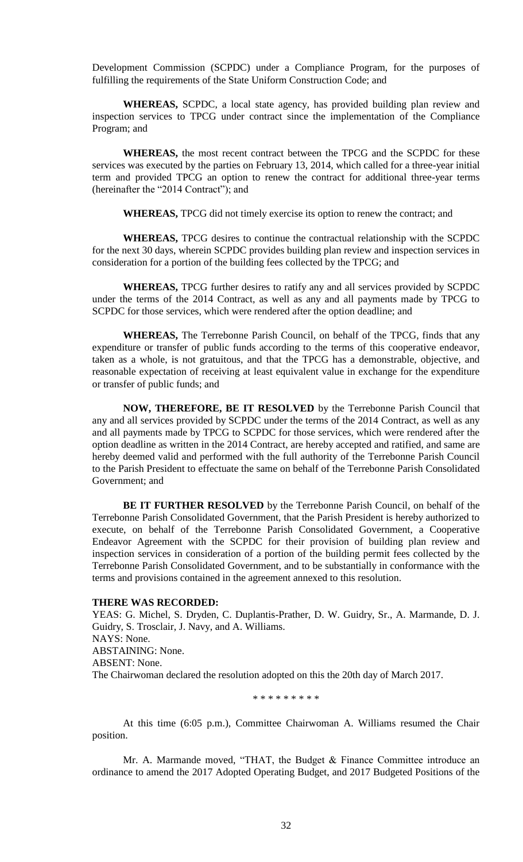Development Commission (SCPDC) under a Compliance Program, for the purposes of fulfilling the requirements of the State Uniform Construction Code; and

**WHEREAS,** SCPDC, a local state agency, has provided building plan review and inspection services to TPCG under contract since the implementation of the Compliance Program; and

**WHEREAS,** the most recent contract between the TPCG and the SCPDC for these services was executed by the parties on February 13, 2014, which called for a three-year initial term and provided TPCG an option to renew the contract for additional three-year terms (hereinafter the "2014 Contract"); and

**WHEREAS,** TPCG did not timely exercise its option to renew the contract; and

**WHEREAS,** TPCG desires to continue the contractual relationship with the SCPDC for the next 30 days, wherein SCPDC provides building plan review and inspection services in consideration for a portion of the building fees collected by the TPCG; and

**WHEREAS,** TPCG further desires to ratify any and all services provided by SCPDC under the terms of the 2014 Contract, as well as any and all payments made by TPCG to SCPDC for those services, which were rendered after the option deadline; and

**WHEREAS,** The Terrebonne Parish Council, on behalf of the TPCG, finds that any expenditure or transfer of public funds according to the terms of this cooperative endeavor, taken as a whole, is not gratuitous, and that the TPCG has a demonstrable, objective, and reasonable expectation of receiving at least equivalent value in exchange for the expenditure or transfer of public funds; and

**NOW, THEREFORE, BE IT RESOLVED** by the Terrebonne Parish Council that any and all services provided by SCPDC under the terms of the 2014 Contract, as well as any and all payments made by TPCG to SCPDC for those services, which were rendered after the option deadline as written in the 2014 Contract, are hereby accepted and ratified, and same are hereby deemed valid and performed with the full authority of the Terrebonne Parish Council to the Parish President to effectuate the same on behalf of the Terrebonne Parish Consolidated Government; and

**BE IT FURTHER RESOLVED** by the Terrebonne Parish Council, on behalf of the Terrebonne Parish Consolidated Government, that the Parish President is hereby authorized to execute, on behalf of the Terrebonne Parish Consolidated Government, a Cooperative Endeavor Agreement with the SCPDC for their provision of building plan review and inspection services in consideration of a portion of the building permit fees collected by the Terrebonne Parish Consolidated Government, and to be substantially in conformance with the terms and provisions contained in the agreement annexed to this resolution.

#### **THERE WAS RECORDED:**

YEAS: G. Michel, S. Dryden, C. Duplantis-Prather, D. W. Guidry, Sr., A. Marmande, D. J. Guidry, S. Trosclair, J. Navy, and A. Williams. NAYS: None. ABSTAINING: None. ABSENT: None. The Chairwoman declared the resolution adopted on this the 20th day of March 2017.

\* \* \* \* \* \* \* \* \*

At this time (6:05 p.m.), Committee Chairwoman A. Williams resumed the Chair position.

Mr. A. Marmande moved, "THAT, the Budget & Finance Committee introduce an ordinance to amend the 2017 Adopted Operating Budget, and 2017 Budgeted Positions of the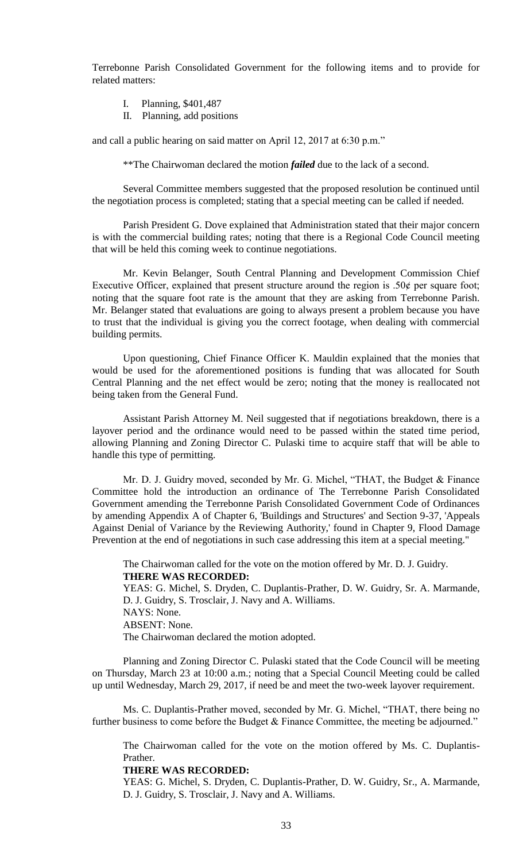Terrebonne Parish Consolidated Government for the following items and to provide for related matters:

- I. Planning, \$401,487
- II. Planning, add positions

and call a public hearing on said matter on April 12, 2017 at 6:30 p.m."

\*\*The Chairwoman declared the motion *failed* due to the lack of a second.

Several Committee members suggested that the proposed resolution be continued until the negotiation process is completed; stating that a special meeting can be called if needed.

Parish President G. Dove explained that Administration stated that their major concern is with the commercial building rates; noting that there is a Regional Code Council meeting that will be held this coming week to continue negotiations.

Mr. Kevin Belanger, South Central Planning and Development Commission Chief Executive Officer, explained that present structure around the region is  $.50¢$  per square foot; noting that the square foot rate is the amount that they are asking from Terrebonne Parish. Mr. Belanger stated that evaluations are going to always present a problem because you have to trust that the individual is giving you the correct footage, when dealing with commercial building permits.

Upon questioning, Chief Finance Officer K. Mauldin explained that the monies that would be used for the aforementioned positions is funding that was allocated for South Central Planning and the net effect would be zero; noting that the money is reallocated not being taken from the General Fund.

Assistant Parish Attorney M. Neil suggested that if negotiations breakdown, there is a layover period and the ordinance would need to be passed within the stated time period, allowing Planning and Zoning Director C. Pulaski time to acquire staff that will be able to handle this type of permitting.

Mr. D. J. Guidry moved, seconded by Mr. G. Michel, "THAT, the Budget & Finance Committee hold the introduction an ordinance of The Terrebonne Parish Consolidated Government amending the Terrebonne Parish Consolidated Government Code of Ordinances by amending Appendix A of Chapter 6, 'Buildings and Structures' and Section 9-37, 'Appeals Against Denial of Variance by the Reviewing Authority,' found in Chapter 9, Flood Damage Prevention at the end of negotiations in such case addressing this item at a special meeting."

The Chairwoman called for the vote on the motion offered by Mr. D. J. Guidry. **THERE WAS RECORDED:**

YEAS: G. Michel, S. Dryden, C. Duplantis-Prather, D. W. Guidry, Sr. A. Marmande, D. J. Guidry, S. Trosclair, J. Navy and A. Williams. NAYS: None. ABSENT: None. The Chairwoman declared the motion adopted.

Planning and Zoning Director C. Pulaski stated that the Code Council will be meeting on Thursday, March 23 at 10:00 a.m.; noting that a Special Council Meeting could be called up until Wednesday, March 29, 2017, if need be and meet the two-week layover requirement.

Ms. C. Duplantis-Prather moved, seconded by Mr. G. Michel, "THAT, there being no further business to come before the Budget & Finance Committee, the meeting be adjourned."

The Chairwoman called for the vote on the motion offered by Ms. C. Duplantis-Prather.

#### **THERE WAS RECORDED:**

YEAS: G. Michel, S. Dryden, C. Duplantis-Prather, D. W. Guidry, Sr., A. Marmande, D. J. Guidry, S. Trosclair, J. Navy and A. Williams.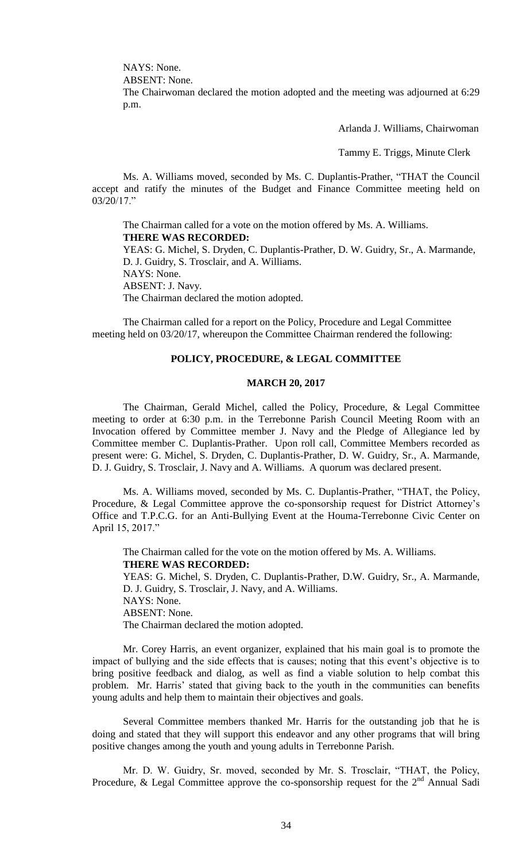NAYS: None.

ABSENT: None.

The Chairwoman declared the motion adopted and the meeting was adjourned at 6:29 p.m.

Arlanda J. Williams, Chairwoman

Tammy E. Triggs, Minute Clerk

Ms. A. Williams moved, seconded by Ms. C. Duplantis-Prather, "THAT the Council accept and ratify the minutes of the Budget and Finance Committee meeting held on 03/20/17."

The Chairman called for a vote on the motion offered by Ms. A. Williams. **THERE WAS RECORDED:** YEAS: G. Michel, S. Dryden, C. Duplantis-Prather, D. W. Guidry, Sr., A. Marmande, D. J. Guidry, S. Trosclair, and A. Williams. NAYS: None. ABSENT: J. Navy. The Chairman declared the motion adopted.

The Chairman called for a report on the Policy, Procedure and Legal Committee meeting held on 03/20/17, whereupon the Committee Chairman rendered the following:

#### **POLICY, PROCEDURE, & LEGAL COMMITTEE**

#### **MARCH 20, 2017**

The Chairman, Gerald Michel, called the Policy, Procedure, & Legal Committee meeting to order at 6:30 p.m. in the Terrebonne Parish Council Meeting Room with an Invocation offered by Committee member J. Navy and the Pledge of Allegiance led by Committee member C. Duplantis-Prather. Upon roll call, Committee Members recorded as present were: G. Michel, S. Dryden, C. Duplantis-Prather, D. W. Guidry, Sr., A. Marmande, D. J. Guidry, S. Trosclair, J. Navy and A. Williams. A quorum was declared present.

Ms. A. Williams moved, seconded by Ms. C. Duplantis-Prather, "THAT, the Policy, Procedure, & Legal Committee approve the co-sponsorship request for District Attorney's Office and T.P.C.G. for an Anti-Bullying Event at the Houma-Terrebonne Civic Center on April 15, 2017."

The Chairman called for the vote on the motion offered by Ms. A. Williams. **THERE WAS RECORDED:** YEAS: G. Michel, S. Dryden, C. Duplantis-Prather, D.W. Guidry, Sr., A. Marmande, D. J. Guidry, S. Trosclair, J. Navy, and A. Williams. NAYS: None. ABSENT: None. The Chairman declared the motion adopted.

Mr. Corey Harris, an event organizer, explained that his main goal is to promote the impact of bullying and the side effects that is causes; noting that this event's objective is to bring positive feedback and dialog, as well as find a viable solution to help combat this problem. Mr. Harris' stated that giving back to the youth in the communities can benefits young adults and help them to maintain their objectives and goals.

Several Committee members thanked Mr. Harris for the outstanding job that he is doing and stated that they will support this endeavor and any other programs that will bring positive changes among the youth and young adults in Terrebonne Parish.

Mr. D. W. Guidry, Sr. moved, seconded by Mr. S. Trosclair, "THAT, the Policy, Procedure, & Legal Committee approve the co-sponsorship request for the  $2<sup>nd</sup>$  Annual Sadi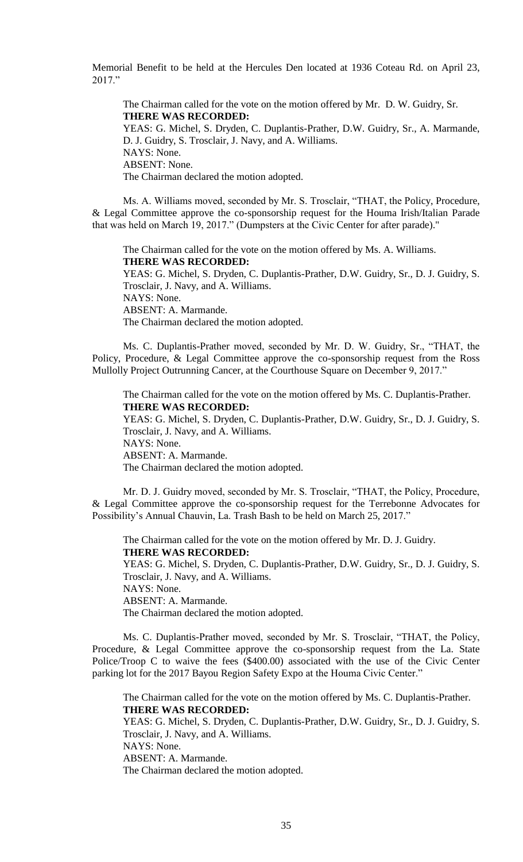Memorial Benefit to be held at the Hercules Den located at 1936 Coteau Rd. on April 23, 2017."

The Chairman called for the vote on the motion offered by Mr. D. W. Guidry, Sr. **THERE WAS RECORDED:** YEAS: G. Michel, S. Dryden, C. Duplantis-Prather, D.W. Guidry, Sr., A. Marmande, D. J. Guidry, S. Trosclair, J. Navy, and A. Williams. NAYS: None. ABSENT: None. The Chairman declared the motion adopted.

Ms. A. Williams moved, seconded by Mr. S. Trosclair, "THAT, the Policy, Procedure, & Legal Committee approve the co-sponsorship request for the Houma Irish/Italian Parade that was held on March 19, 2017." (Dumpsters at the Civic Center for after parade)."

The Chairman called for the vote on the motion offered by Ms. A. Williams. **THERE WAS RECORDED:** YEAS: G. Michel, S. Dryden, C. Duplantis-Prather, D.W. Guidry, Sr., D. J. Guidry, S. Trosclair, J. Navy, and A. Williams. NAYS: None. ABSENT: A. Marmande. The Chairman declared the motion adopted.

Ms. C. Duplantis-Prather moved, seconded by Mr. D. W. Guidry, Sr., "THAT, the Policy, Procedure, & Legal Committee approve the co-sponsorship request from the Ross Mullolly Project Outrunning Cancer, at the Courthouse Square on December 9, 2017."

The Chairman called for the vote on the motion offered by Ms. C. Duplantis-Prather. **THERE WAS RECORDED:** YEAS: G. Michel, S. Dryden, C. Duplantis-Prather, D.W. Guidry, Sr., D. J. Guidry, S.

Trosclair, J. Navy, and A. Williams. NAYS: None. ABSENT: A. Marmande. The Chairman declared the motion adopted.

Mr. D. J. Guidry moved, seconded by Mr. S. Trosclair, "THAT, the Policy, Procedure, & Legal Committee approve the co-sponsorship request for the Terrebonne Advocates for Possibility's Annual Chauvin, La. Trash Bash to be held on March 25, 2017."

The Chairman called for the vote on the motion offered by Mr. D. J. Guidry. **THERE WAS RECORDED:** YEAS: G. Michel, S. Dryden, C. Duplantis-Prather, D.W. Guidry, Sr., D. J. Guidry, S. Trosclair, J. Navy, and A. Williams. NAYS: None.

ABSENT: A. Marmande.

The Chairman declared the motion adopted.

Ms. C. Duplantis-Prather moved, seconded by Mr. S. Trosclair, "THAT, the Policy, Procedure, & Legal Committee approve the co-sponsorship request from the La. State Police/Troop C to waive the fees (\$400.00) associated with the use of the Civic Center parking lot for the 2017 Bayou Region Safety Expo at the Houma Civic Center."

The Chairman called for the vote on the motion offered by Ms. C. Duplantis-Prather. **THERE WAS RECORDED:**

YEAS: G. Michel, S. Dryden, C. Duplantis-Prather, D.W. Guidry, Sr., D. J. Guidry, S. Trosclair, J. Navy, and A. Williams. NAYS: None. ABSENT: A. Marmande. The Chairman declared the motion adopted.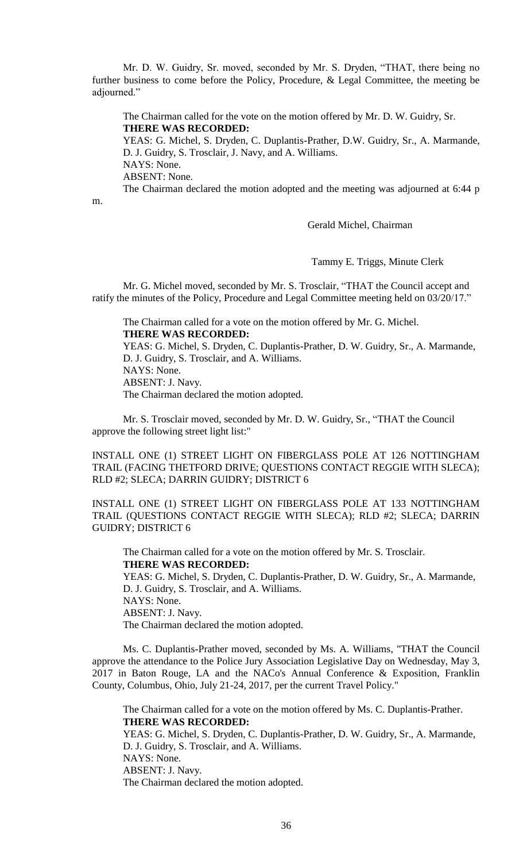Mr. D. W. Guidry, Sr. moved, seconded by Mr. S. Dryden, "THAT, there being no further business to come before the Policy, Procedure, & Legal Committee, the meeting be adjourned."

The Chairman called for the vote on the motion offered by Mr. D. W. Guidry, Sr. **THERE WAS RECORDED:**

YEAS: G. Michel, S. Dryden, C. Duplantis-Prather, D.W. Guidry, Sr., A. Marmande, D. J. Guidry, S. Trosclair, J. Navy, and A. Williams.

NAYS: None.

ABSENT: None.

The Chairman declared the motion adopted and the meeting was adjourned at 6:44 p

m.

Gerald Michel, Chairman

Tammy E. Triggs, Minute Clerk

Mr. G. Michel moved, seconded by Mr. S. Trosclair, "THAT the Council accept and ratify the minutes of the Policy, Procedure and Legal Committee meeting held on 03/20/17."

The Chairman called for a vote on the motion offered by Mr. G. Michel. **THERE WAS RECORDED:** YEAS: G. Michel, S. Dryden, C. Duplantis-Prather, D. W. Guidry, Sr., A. Marmande, D. J. Guidry, S. Trosclair, and A. Williams. NAYS: None. ABSENT: J. Navy. The Chairman declared the motion adopted.

Mr. S. Trosclair moved, seconded by Mr. D. W. Guidry, Sr., "THAT the Council approve the following street light list:"

INSTALL ONE (1) STREET LIGHT ON FIBERGLASS POLE AT 126 NOTTINGHAM TRAIL (FACING THETFORD DRIVE; QUESTIONS CONTACT REGGIE WITH SLECA); RLD #2; SLECA; DARRIN GUIDRY; DISTRICT 6

INSTALL ONE (1) STREET LIGHT ON FIBERGLASS POLE AT 133 NOTTINGHAM TRAIL (QUESTIONS CONTACT REGGIE WITH SLECA); RLD #2; SLECA; DARRIN GUIDRY; DISTRICT 6

The Chairman called for a vote on the motion offered by Mr. S. Trosclair. **THERE WAS RECORDED:** YEAS: G. Michel, S. Dryden, C. Duplantis-Prather, D. W. Guidry, Sr., A. Marmande, D. J. Guidry, S. Trosclair, and A. Williams. NAYS: None. ABSENT: J. Navy. The Chairman declared the motion adopted.

Ms. C. Duplantis-Prather moved, seconded by Ms. A. Williams, "THAT the Council approve the attendance to the Police Jury Association Legislative Day on Wednesday, May 3, 2017 in Baton Rouge, LA and the NACo's Annual Conference & Exposition, Franklin County, Columbus, Ohio, July 21-24, 2017, per the current Travel Policy."

The Chairman called for a vote on the motion offered by Ms. C. Duplantis-Prather. **THERE WAS RECORDED:**

YEAS: G. Michel, S. Dryden, C. Duplantis-Prather, D. W. Guidry, Sr., A. Marmande, D. J. Guidry, S. Trosclair, and A. Williams. NAYS: None. ABSENT: J. Navy. The Chairman declared the motion adopted.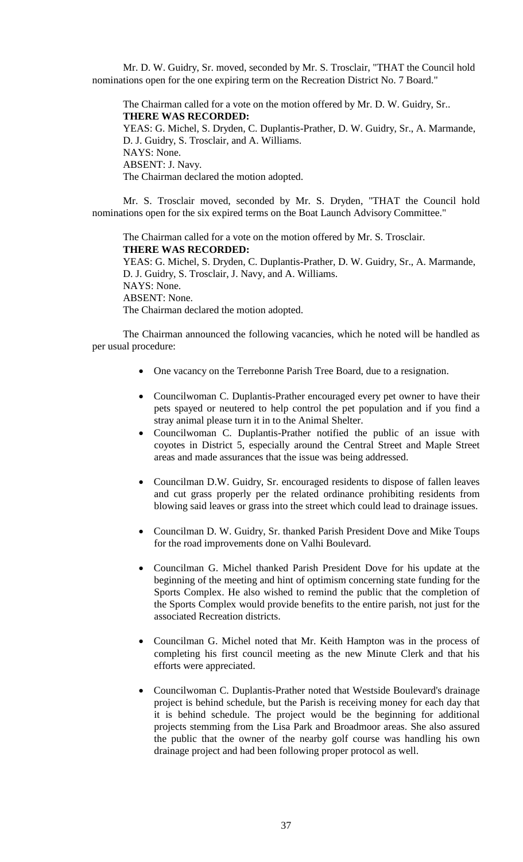Mr. D. W. Guidry, Sr. moved, seconded by Mr. S. Trosclair, "THAT the Council hold nominations open for the one expiring term on the Recreation District No. 7 Board."

The Chairman called for a vote on the motion offered by Mr. D. W. Guidry, Sr.. **THERE WAS RECORDED:** YEAS: G. Michel, S. Dryden, C. Duplantis-Prather, D. W. Guidry, Sr., A. Marmande, D. J. Guidry, S. Trosclair, and A. Williams. NAYS: None. ABSENT: J. Navy. The Chairman declared the motion adopted.

Mr. S. Trosclair moved, seconded by Mr. S. Dryden, "THAT the Council hold nominations open for the six expired terms on the Boat Launch Advisory Committee."

The Chairman called for a vote on the motion offered by Mr. S. Trosclair. **THERE WAS RECORDED:** YEAS: G. Michel, S. Dryden, C. Duplantis-Prather, D. W. Guidry, Sr., A. Marmande, D. J. Guidry, S. Trosclair, J. Navy, and A. Williams. NAYS: None. ABSENT: None. The Chairman declared the motion adopted.

The Chairman announced the following vacancies, which he noted will be handled as per usual procedure:

- One vacancy on the Terrebonne Parish Tree Board, due to a resignation.
- Councilwoman C. Duplantis-Prather encouraged every pet owner to have their pets spayed or neutered to help control the pet population and if you find a stray animal please turn it in to the Animal Shelter.
- Councilwoman C. Duplantis-Prather notified the public of an issue with coyotes in District 5, especially around the Central Street and Maple Street areas and made assurances that the issue was being addressed.
- Councilman D.W. Guidry, Sr. encouraged residents to dispose of fallen leaves and cut grass properly per the related ordinance prohibiting residents from blowing said leaves or grass into the street which could lead to drainage issues.
- Councilman D. W. Guidry, Sr. thanked Parish President Dove and Mike Toups for the road improvements done on Valhi Boulevard.
- Councilman G. Michel thanked Parish President Dove for his update at the beginning of the meeting and hint of optimism concerning state funding for the Sports Complex. He also wished to remind the public that the completion of the Sports Complex would provide benefits to the entire parish, not just for the associated Recreation districts.
- Councilman G. Michel noted that Mr. Keith Hampton was in the process of completing his first council meeting as the new Minute Clerk and that his efforts were appreciated.
- Councilwoman C. Duplantis-Prather noted that Westside Boulevard's drainage project is behind schedule, but the Parish is receiving money for each day that it is behind schedule. The project would be the beginning for additional projects stemming from the Lisa Park and Broadmoor areas. She also assured the public that the owner of the nearby golf course was handling his own drainage project and had been following proper protocol as well.